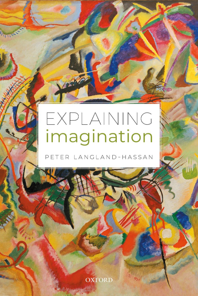## EXPLAINING imagination

PETER LANGLAND-HASSAN

**OXFORD**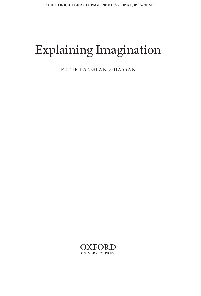# Explaining Imagination

PETER LANGLAND-HASSAN

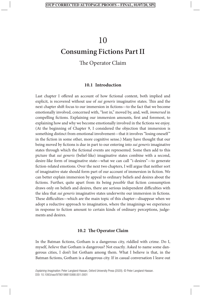## 10 **Consuming Fictions Part II**

#### The Operator Claim

#### **10.1 Introduction**

Last chapter I offered an account of how fictional content, both implied and explicit, is recovered without use of *sui generis* imaginative states. This and the next chapter shift focus to our immersion in fictions—to the fact that we become emotionally involved, concerned with, "lost in," moved by, and, well, *immersed* in compelling fictions. Explaining our immersion amounts, first and foremost, to explaining how and why we become emotionally involved in the fictions we enjoy. (At the beginning of Chapter 9, I considered the objection that immersion is something distinct from emotional involvement—that it involves "losing oneself" in the fiction in some other, more cognitive sense.) Many have thought that our being moved by fictions is due in part to our entering into *sui generis* imaginative states through which the fictional events are represented. Some then add to this picture that *sui generis* (belief-like) imaginative states combine with a second, desire-like form of imaginative state—what we can call "i-desires"—to generate fiction-related emotions. Over the next two chapters, I will argue that neither sort of imaginative state should form part of our account of immersion in fiction. We can better explain immersion by appeal to ordinary beliefs and desires about the fictions. Further, quite apart from its being *possible* that fiction consumption draws only on beliefs and desires, there are serious independent difficulties with the idea that *sui generis* imaginative states underwrite our immersion in fictions. These difficulties—which are the main topic of this chapter—disappear when we adopt a reductive approach to imagination, where the imaginings we experience in response to fiction amount to certain kinds of ordinary perceptions, judgements and desires.

#### **10.2 The Operator Claim**

In the Batman fictions, Gotham is a dangerous city, riddled with crime. Do I, myself, *believe* that Gotham is dangerous? Not exactly. Asked to name some dangerous cities, I don't list Gotham among them. What I believe is that, in the Batman fictions, Gotham is a dangerous city. If in casual conversation I leave out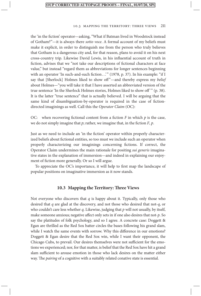the 'in the fiction' operator—asking, "What if Batman lived in Woodstock instead of Gotham?"—it is always there *sotto voce*. A formal account of my beliefs must make it explicit, in order to distinguish me from the person who truly believes that Gotham is a dangerous city and, for that reason, plans to avoid it on his next cross-country trip. Likewise David Lewis, in his influential account of truth in fiction, advises that we "not take our descriptions of fictional characters at face value," but instead "regard them as abbreviations for longer sentences beginning with an operator 'In such-and-such fiction...'" (1978, p. 37). In his example: "if I say that [Sherlock] Holmes liked to show off"-and thereby express my *belief* about Holmes—"you will take it that I have asserted an abbreviated version of the true sentence 'In the Sherlock Holmes stories, Holmes liked to show off'" (p. 38). It is the latter "true sentence" that is actually believed. I will be arguing that the same kind of disambiguation-by-operator is required in the case of fictiondirected imaginings as well. Call this the *Operator Claim* (OC):

OC: when recovering fictional content from a fiction  $F$  in which  $p$  is the case, we do not simply imagine that *p*; rather, we imagine that, in the fiction *F*, *p*.

Just as we need to include an 'in the fiction' operator within properly characterized beliefs about fictional entities, so too must we include such an operator when properly characterizing our imaginings concerning fictions. If correct, the Operator Claim undermines the main rationale for positing *sui generis* imaginative states in the explanation of immersion—and indeed in explaining our enjoyment of fiction more generally. Or so I will argue.

To appreciate the OC's importance, it will help to first map the landscape of popular positions on imaginative immersion as it now stands.

#### **10.3 Mapping the Territory: Three Views**

Not everyone who discovers that *q* is happy about it. Typically, only those who desired that *q* are glad at the discovery, and not those who desired that not-*q*, or who couldn't care less whether *q*. Likewise, judging that *p* will not usually, by itself, make someone anxious; negative affect only sets in if one also desires that not-*p*. So say the platitudes of folk psychology, and so I agree. A concrete case: Doggett & Egan are thrilled as the Red Sox batter circles the bases following his grand slam, while I watch the same events with sorrow. Why this difference in our emotions? Doggett & Egan desire that the Red Sox win, while I want their opponent, the Chicago Cubs, to prevail. Our desires themselves were not sufficient for the emotions we experienced; nor, for that matter, is belief that the Red Sox have hit a grand slam sufficient to arouse emotion in those who lack desires on the matter either way. The *pairing* of a cognitive with a suitably related conative state is essential.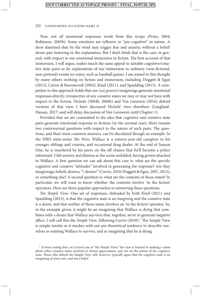True, not *all* emotional responses result from this recipe (Prinz, 2004; Robinson, 2005b). Some emotions are reflexive or "pre-cognitive" in nature. A door slammed shut by the wind may trigger fear and anxiety, without a belief/ desire pair featuring in the explanation. But I don't think that is the case, in general, with respect to our emotional immersion in fiction. The best account of that immersion, I will argue, makes much the same appeal to suitable cognitive/conative state pairs as do explanations of our immersion in ordinary (non-fictional, non-pretend) events we enjoy, such as baseball games. I am joined in this thought by many others working on fiction and immersion, including Doggett & Egan (2012), Currie & Ravenscroft (2002), Kind (2011), and Spaulding (2015). A competitor to this approach holds that our (*sui generis*) imaginings generate emotional responses *directly*, irrespective of any conative states we may or may not have with respect to the fiction. Nichols (2004b, 2006b) and Van Leeuwen (2016) defend versions of that view. I have discussed Nichols' view elsewhere (Langland-Hassan, 2017) and will delay discussion of Van Leeuwen's until Chapter 11.

Provided that we are committed to the idea that cognitive and conative state pairs generate emotional response to fictions (in the normal case), there remain two controversial questions with respect to the nature of such pairs. The questions, and their most common answers, can be elucidated though an example. In the HBO mini-series *The Wire*, Wallace is a sixteen-year-old caregiver to his younger siblings and cousins, and occasional drug dealer. At the end of Season One, he is murdered by his peers on the off chance that he'll become a police informant. I felt anxiety and distress as the scene unfolded, having grown attached to Wallace. A first question we can ask about this case is: what are the specific cognitive and conative "attitudes" involved in generating the response? Are they imaginings, beliefs, desires, "i-desires" (Currie, 2010; Doggett & Egan, 2007, 2012), or something else? A second question is: what are the contents of those states? In particular, we will want to know whether the contents involve 'in the fiction' operators. Here are three popular approaches to answering these questions.

*The Simple View*: One set of responses, defended by both Kind (2011) and Spaulding (2015), is that the cognitive state is an *imagining* and the conative state is a *desire*, and that neither of those states involves an 'in the fiction' operator. So, in the example given, it might be an imagining that Wallace is dying that combines with a desire that Wallace survives that, together, serve to generate negative affect. I will call this the *Simple View*, following Currie (2010).<sup>1</sup> The Simple View is simple insofar as it meshes with our pre-theoretical tendency to describe ourselves as wanting Wallace to survive, and as imagining that he is dying.

<sup>&</sup>lt;sup>1</sup> It bears noting that, on Currie's use of "the Simple View," the view is limited to making a claim about other conative states involved in fiction appreciation, and not on the nature of the cognitive state. Those who defend the Simple View will, however, typically agree that the cognitive state is an imagining of some sort, and not a belief.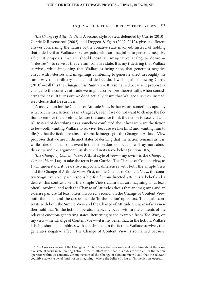*The Change of Attitude View*: A second style of view, defended by Currie (2010), Currie & Ravenscroft (2002), and Doggett & Egan (2007, 2012), gives a different answer concerning the nature of the conative state involved. Instead of holding that a desire that Wallace survives pairs with an imagining to generate negative affect, it proposes that we should posit an imaginative analog to desires— "i-desires"—to serve as the relevant conative state. It is my i-desiring that Wallace survives, while imagining that Wallace is being shot, that generates negative affect, with i-desires and imaginings combining to generate affect in roughly the same way that ordinary beliefs and desires do. I will—again following Currie (2010)—call this the *Change of Attitude View*. It is so named because it proposes a change to the conative attitude we might ascribe, pre-theoretically, when considering the case. It turns out we don't actually desire that Wallace survives; instead, we i-desire that he survives.

A motivation for the Change of Attitude View is that we are sometimes upset by what occurs in a fiction (as in a tragedy), even if we do not want to change the fiction to remove the upsetting feature (because we think the fiction is excellent as it is). Instead of describing us as somehow conflicted about how we want the fiction to be—both wanting Wallace to survive (because we like him) and wanting him to die (so that the fiction retains its dramatic integrity)—the Change of Attitude View proposes that we are in distinct states of desiring that the fiction remains as it is, while i-desiring that some event in the fiction does not occur. I will say more about this view and the argument just sketched in its favor below (section 10.5).

*The Change of Content View*: A third style of view—my own—is the *Change of Content View*. I again take the term from Currie.<sup>2</sup> The Change of Content view, as I will understand it, bears two important differences with both the Simple View and the Change of Attitude View. First, on the Change of Content View, the conative/cognitive state pair responsible for fiction-directed affect is a belief and a desire. This contrasts with the Simple View's claim that an imagining is (at least often) involved, and with the Change of Attitude's thesis that an imagining and an i-desire pair are (at least often) involved. Second, on the Change of Content View, both the belief and the desire include 'in the fiction' operators. This again contrasts with both the Simple View and the Change of Attitude View, insofar as neither hold that 'in the fiction' operators typically occur within the contents of the relevant emotion-generating states. Returning to the example from *The Wire*, on my view—the Change of Content View—it is my belief that, in the fiction, Wallace is being shot that combines with a desire that, in the fiction, Wallace survives, that generates negative affect. The Change of Content View is so named because,

<sup>&</sup>lt;sup>2</sup> On Currie's version of the Change of Content View, the view only makes a claim about the conative state at work in generating fiction-directed affect (viz., that it is a desire with an 'in the fiction' operator within its content). On my version of the Change of Content View, I add that the relevant cognitive state is a belief (and not an imagining), where the belief *also* has an 'in the fiction' operator.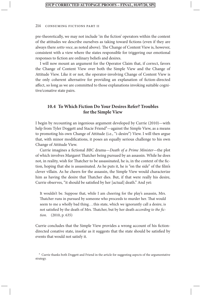pre-theoretically, we may not include 'in the fiction' operators within the content of the attitudes we describe ourselves as taking toward fictions (even if they are always there *sotto voce*, as noted above). The Change of Content View is, however, consistent with a view where the states responsible for triggering our emotional responses to fiction are ordinary beliefs and desires.

I will now mount an argument for the Operator Claim that, if correct, favors the Change of Content View over both the Simple View and the Change of Attitude View. Like it or not, the operator-involving Change of Content View is the only coherent alternative for providing an explanation of fiction-directed affect, so long as we are committed to those explanations invoking suitable cognitive/conative state pairs.

#### **10.4 To Which Fiction Do Your Desires Refer? Troubles for the Simple View**

I begin by recounting an ingenious argument developed by Currie (2010)—with help from Tyler Doggett and Stacie Friend<sup>3</sup>—against the Simple View, as a means to promoting his own Change of Attitude (i.e., "i-desire") View. I will then argue that, with minor modifications, it poses an equally serious challenge to his own Change of Attitude View.

Currie imagines a fictional *BBC* drama—*Death of a Prime Minister—*the plot of which involves Margaret Thatcher being pursued by an assassin. While he does not, in reality, wish for Thatcher to be assassinated, he is, in the context of the fiction, hoping that she is assassinated. As he puts it, he is "on the side" of the film's clever villain. As he cheers for the assassin, the Simple View would characterize him as having the desire that Thatcher dies. But, if that were really his desire, Currie observes, "it should be satisfied by her [actual] death." And yet:

It wouldn't be. Suppose that, while I am cheering for the play's assassin, Mrs. Thatcher runs in pursued by someone who proceeds to murder her. That would seem to me a wholly bad thing ... this state, which we ignorantly call a desire, is not satisfied by the death of Mrs. Thatcher, but by her death *according to the fiction*. (2010, p. 635)

Currie concludes that the Simple View provides a wrong account of his fictiondirected conative state, insofar as it suggests that the state should be satisfied by events that would not satisfy it.

<sup>&</sup>lt;sup>3</sup> Currie thanks both Doggett and Friend in the article for suggesting aspects of the argumentative strategy.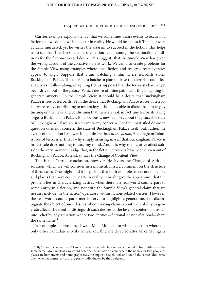Currie's example exploits the fact that we sometimes desire events to occur in a fiction that we do not wish to occur in reality. He would be aghast if Thatcher were actually murdered; yet he wishes the assassin to succeed in the fiction. This helps us to see that Thatcher's actual assassination is not among the satisfaction conditions for the fiction-directed desire. This suggests that the Simple View has given the wrong account of the conative state at work. We can also create problems for the Simple View using examples where one's fiction and reality-directed desires appear to align. Suppose that I am watching a film where terrorists storm Buckingham Palace. The film's hero hatches a plan to drive the terrorists out. I feel anxiety as I follow along, imagining (let us suppose) that the terrorists haven't yet been driven out of the palace. Which desire of mine pairs with this imagining to generate anxiety? On the Simple View, it should be a desire that Buckingham Palace is free of terrorists. Yet if the desire that Buckingham Palace is free of terrorists were really contributing to my anxiety, I should be able to dispel that anxiety by turning on the news and confirming that there are not, in fact, any terrorists laying siege to Buckingham Palace. But, obviously, news reports about the peaceable state of Buckingham Palace are irrelevant to my concerns. For the unsatisfied desire in question does not concern the state of Buckingham Palace itself, but, rather, the events of the fiction I am watching. I desire that, *in the fiction*, Buckingham Palace is free of terrorists. This is why simply assuring myself that Buckingham Palace is in fact safe does nothing to ease my mind. And it is why my negative affect subsides the very moment I judge that, in the fiction, terrorists have been driven out of Buckingham Palace. At least, so says the Change of Content View.

This is not Currie's conclusion, however. He favors the Change of Attitude solution, which we will consider in a moment. First, a comment on the structure of these cases. One might find it suspicious that both examples make use of people and places that have counterparts in reality. It might give the appearance that the problem lies in characterizing desires when there is a real-world counterpart to some entity in a fiction, and not with the Simple View's general claim that we needn't include 'in the fiction' operators within fiction-related desires. However, the real-world counterparts merely serve to highlight a general need to disambiguate the object of one's desires when making claims about their ability to generate affect. The need to distinguish such desires at the level of content is thrown into relief by any situation where two entities—fictional *or* non-fictional—share the same name.<sup>4</sup>

For example, suppose that I want Mike Mulligan to win an election where the only other candidate is Mike Jones. You find me dejected after Mike Mulligan's

<sup>4</sup> By "share the same name" I mean the sense in which two people named 'John Smith' share the same name. More neutrally we could describe the situation as one where the names for two people or places are homonyms and homographs (i.e., the linguistic labels look and sound the same). This leaves open whether names, as such, are partly individuated by their referents.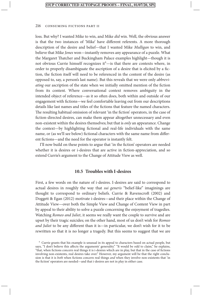loss. But why? I wanted Mike to win, and Mike *did* win. Well, the obvious answer is that the two instances of 'Mike' have different referents. A more thorough description of the desire and belief—that I wanted Mike *Mulligan* to win, and believe that Mike *Jones* won—instantly removes any appearance of a puzzle. What the Margaret Thatcher and Buckingham Palace examples highlight—though it is not obvious Currie himself recognizes it<sup>5</sup>—is that there are contexts where, in order to properly disambiguate the ascription of a desire that is elicited by a fiction, the fiction itself will need to be referenced in the content of the desire (as opposed to, say, a person's last name). But this reveals that we were only *abbreviating* our ascription of the state when we initially omitted mention of the fiction from its content. Where conversational context removes ambiguity in the intended object of reference—as it so often does, both within and outside of our engagement with fictions—we feel comfortable leaving out from our descriptions details like last names and titles of the fictions that feature the named characters. The resulting habitual omission of relevant 'in the fiction' operators, in the case of fiction-directed desires, can make them appear altogether unnecessary and even non-existent within the desires themselves; but that is *only* an appearance. Change the context—by highlighting fictional and real-life individuals with the same name, or (as we'll see below) fictional characters with the same name from different fictions—and the need for the operator is instantly felt.

I'll now build on these points to argue that 'in the fiction' operators are needed whether it is desires or i-desires that are active in fiction-appreciation, and so extend Currie's argument to the Change of Attitude View as well.

#### **10.5 Troubles with I-desires**

First, a few words on the nature of i-desires. I-desires are said to correspond to actual desires in roughly the way that *sui generis* "belief-like" imaginings are thought to correspond to ordinary beliefs. Currie & Ravenscroft (2002) and Doggett & Egan (2012) motivate i-desires—and their place within the Change of Attitude View—over both the Simple View and Change of Content View in part by appeal to their ability to solve a puzzle concerning the enjoyment of tragedies. Watching *Romeo and Juliet*, it seems we really want the couple to survive and are upset by their tragic suicides; on the other hand, most of us don't wish for *Romeo and Juliet* to be any different than it is—in particular, we don't wish for it to be rewritten so that it is no longer a tragedy. But this seems to suggest that we are

<sup>5</sup> Currie grants that his example is unusual in its appeal to characters based on actual people, but says, "I don't believe this affects the arguments' generality." "It would be odd to claim," he explains, "that, when fictions concern real things it is i-desires which are in play, but that in the case of fictions involving non-existents, real desires take over." However, my argument will be that the right conclusion is that it is *both* when fictions concern real things *and* when they involve non-existents that 'in the fiction' operators are needed—and that i-desires are not in play in either case.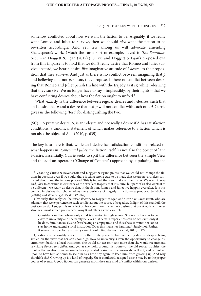somehow conflicted about how we want the fiction to be. Arguably, if we really want Romeo and Juliet to survive, then we should *also* want the fiction to be rewritten accordingly. And yet, few among us will advocate amending Shakespeare's work. (Much the same sort of example, keyed to *The Sopranos*, occurs in Doggett & Egan (2012).) Currie and Doggett & Egan's proposed exit from this impasse is to hold that we don't really desire that Romeo and Juliet survive; instead, we bear a desire-*like* imaginative attitude of *i-desire* to the proposition that they survive. And just as there is no conflict between imagining that *p* and believing that not-*p*, so too, they propose, is there no conflict between desiring that Romeo and Juliet perish (in line with the trajedy as it is) while i-desiring that they survive. We no longer have to say—implausibly, by their lights—that we have conflicting desires about how the fiction ought to unfold.<sup>6</sup>

What, exactly, is the difference between regular desires and *i-*desires, such that an i-desire that *p* and a desire that not-*p* will not conflict with each other? Currie gives us the following "test" for distinguishing the two:

(SC) A putative desire, A, is an i-desire and not really a desire if A has satisfaction conditions, a canonical statement of which makes reference to a fiction which is not also the object of A. (2010, p. 635)

The key idea here is that, while an i*-*desire has satisfaction conditions related to what happens in *Romeo and Juliet*, the fiction itself "is not also the object of" the i-desire. Essentially, Currie seeks to split the difference between the Simple View and the add-an-operator ("Change of Content") approach by stipulating that the

6 Granting Currie & Ravenscroft and Doggett & Egan's points that we would not change the fictions in question even if we could, there is still a strong case to be made that we are nevertheless conflicted about how the fictions proceed. This is indeed the view I take on the matter. We want *Romeo and Juliet* to continue in existence as the excellent tragedy that it is, sure; but part of us also wants it to be different—we really do desire that, in the fiction, Romeo and Juliet live happily ever after. It is this conflict in desires that characterizes the experience of tragedy in fiction—as proposed by Nichols (2004b) and Weinberg & Meskin (2006a).

Obviously, this reply will be unsatisfactory to Doggett & Egan and Currie & Ravenscroft, who are adamant that we experience no such conflict about the course of tragedies. In light of this standoff, the best we can do, I suggest, is to reflect on how common it is to have desires that are at odds with one's strongest, most settled preferences. Amy Kind offers a vivid example:

Consider a mother whose only child is a senior in high school. She wants her son to go away to university and she firmly believes that certain experiences can be achieved only if he does. Simultaneously, she fears having an empty nest, and thus she also wants her son to stay home and attend a local institution. Does this make her irrational? Surely not. Rather, it seems like a perfectly ordinary case of conflicting desires. (Kind, 2011, p. 429)

Questions of rationality aside, this mother quite plausibly has conflicting desires, despite being settled on the view that her son should go away to university. Given the opportunity to change his enrollment back to a local institution, she would not act on it any more than she would recommend rewriting *Romeo and Juliet*. And yet, as she looks around his room—at the old soccer trophies, the photos, the vacation souvenirs—she has a powerful desire that she knows she will not, and cannot act upon: to have him at home; to see him as a little boy again; to keep him from growing up. And why shouldn't she? Growing up is a kind of tragedy. She is conflicted, resigned as she may be to the proper course of events. A good fiction can generate much the same kind of conflict within our desires.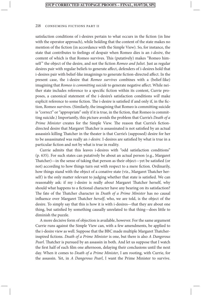satisfaction conditions of i-desires pertain to what occurs in the fiction (in line with the operator approach), while holding that the content of the state makes no mention of the fiction (in accordance with the Simple View). So, for instance, the state that contributes to feelings of despair when Romeo dies is an *i-desire*, the content of which is that Romeo survives. This (putatively) makes "Romeo himself" the object of the desire, and not the fiction *Romeo and Juliet*. Just as regular desires pair with regular beliefs to generate affect, defenders of i-desires hold that i-desires pair with belief-like imaginings to generate fiction-directed affect. In the present case, the i-desire that *Romeo survives* combines with a (belief-like) imagining that *Romeo is committing suicide* to generate negative affect. While neither state includes reference to a specific fiction within its content, Currie proposes, a canonical statement of the i-desire's satisfaction conditions *will* make explicit reference to some fiction. The i-desire is satisfied if and only if, in the fiction, Romeo survives. (Similarly, the imagining that Romeo is committing suicide is "correct" or "appropriate" only if it is true, in the fiction, that Romeo is committing suicide.) Importantly, this picture avoids the problem that Currie's *Death of a Prime Minister* creates for the Simple View. The reason that Currie's fictiondirected desire that Margaret Thatcher is assassinated is not satisfied by an actual assassin's killing Thatcher in the theater is that Currie's (supposed) desire for her to be assassinated was really an *i-desire*. I-desires are satisfied by what is true in a particular fiction and not by what is true in reality.

Currie admits that this leaves i*-*desires with "odd satisfaction conditions" (p. 635). For such states can putatively be about an actual person (e.g., Margaret Thatcher)—in the sense of taking that person as their object—yet be satisfied (or not) according to how things turn out with respect to a mere fiction*.* Ordinarily, how things stand with the object of a conative state (viz., Margaret Thatcher herself) is the only matter relevant to judging whether that state is satisfied. We can reasonably ask: if my i-desire is really *about* Margaret Thatcher herself, why should what happens to a fictional character have any bearing on its satisfaction? The fate of the Thatcher character in *Death of a Prime Minister* has no causal influence over Margaret Thatcher *herself*, who, we are told, is the object of the desire. To simply say that this is how it is with i-desires—that they are about one thing, but satisfied by something causally unrelated to that thing—does little to diminish the puzzle.

A more decisive form of objection is available, however. For the same argument Currie runs against the Simple View can, with a few amendments, be applied to the i-desire view as well. Suppose that the BBC made multiple Margaret Thatcherinspired fictions. *Death of a Prime Minister* is one, but there is also *A Dangerous Pearl*. Thatcher is pursued by an assassin in both. And let us suppose that I watch the first half of each film one afternoon, delaying their conclusions until the next day. When it comes to *Death of a Prime Minister*, I am rooting, with Currie, for the assassin. Yet, in *A Dangerous Pearl*, I want the Prime Minister to survive.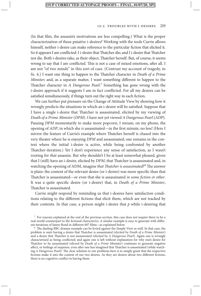(In that film, the assassin's motivations are less compelling.) What is the proper characterization of these putative i-desires? Working with the tools Currie allows himself, neither i-desire can make reference to the particular fiction that elicited it. So it appears I am conflicted: I i-desire that Thatcher die; and I i-desire that Thatcher not die. Both i-desires take, as their object, Thatcher herself. But, of course, it seems wrong to say that I am conflicted. This is not a case of mixed emotions, after all. I am not "of two minds" in this sort of case. (Contrast my account of tragedy, in fn. 6.) I want one thing to happen to the Thatcher character in *Death of a Prime Minister*; and, as a separate matter, I want something different to happen to the Thatcher character in *A Dangerous Pearl*.7 Something has gone wrong with the i-desire approach if it suggests I am in fact conflicted. For all my desires can be satisfied simultaneously, if things turn out the right way in each fiction.

We can further put pressure on the Change of Attitude View by showing how it wrongly predicts the situations in which an i-desire will be satisfied. Suppose that I have a single i-desire that Thatcher is assassinated, elicited by my viewing of *Death of a Prime Minister* (*DPM*). I have not yet viewed *A Dangerous Pearl* (*ADP*). Pausing *DPM* momentarily to make more popcorn, I stream, on my phone, the opening of *ADP*, in which she *is* assassinated—in the first minute, no less! (Here I mirror the feature of Currie's example where Thatcher herself is chased into the very theater where he is enjoying *DPM* and assassinated; one remains in the context where the initial i-desire is active, while being confronted by another Thatcher-iteration.) Yet I don't experience any sense of satisfaction, as I wasn't rooting for *that* assassin. But why shouldn't I be at least somewhat pleased, given that I (still) have an i-desire, elicited by *DPM*, that Thatcher is assassinated and, in watching the opening of ADM, imagine *that Thatcher is assassinated*?8 The answer is plain: the content of the relevant desire (or i-desire) was more specific than that Thatcher is assassinated—or even that she is assassinated *in some fiction or other*. It was a quite specific desire (or i-desire) that, in *Death of a Prime Minister*, Thatcher is assassinated.

Currie might respond by reminding us that i-desires have satisfaction conditions relating to the different fictions that elicit them, which are not tracked by their contents. In that case, a person might i-desire that *p* while i-desiring that

7 For reasons explained at the end of the previous section, this case does not require there to be a real-world counterpart to the fictional character(s). A similar example is easy to generate with different iterations of James Bond in different 007 films—as explained below.

<sup>8</sup> The dueling BBC dramas example can be levied against the Simple View as well. In that case, the problem is one's having a desire that Thatcher is assassinated (elicited by *Death of a Prime Minister*) and a desire that Thatcher is not assassinated (elicited by *A Dangerous Pearl*). Again one is wrongly characterized as being conflicted; and again one is left without explanation for why one's desire for Thatcher to be assassinated (elicted by *Death of a Prime* Minister) continues to generate negative affect, or feelings of suspense, even after one has imagined that Thatcher is assassinated (while watching *A Dangerous Pearl*). The clear solution to our problems here is to simply grant that the respective fictions make it into the content of our two desires. As they are desires about two different fictions, there is no cognitive conflict in having them.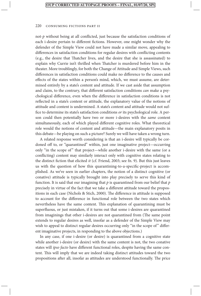not-*p* without being at all conflicted, just because the satisfaction conditions of each i-desire pertain to different fictions. However, one might wonder why the defender of the Simple View could not have made a similar move, appealing to differences in satisfaction conditions for regular desires with conflicting contents (e.g., the desire that Thatcher lives, and the desire that she is assassinated) to explain why Currie isn't thrilled when Thatcher is murdered before him in the theater. More troublingly, for both the Change of Attitude and Simple Views, such differences in satisfaction conditions could make no difference to the causes and effects of the states within a person's mind, which, we must assume, are determined entirely by a state's content and attitude. If we cast aside that assumption and claim, to the contrary, that different satisfaction conditions *can* make a psychological difference, even when the difference in satisfaction conditions is not reflected in a state's content or attitude, the explanatory value of the notions of attitude and content is undermined. A state's content and attitude would not suffice to determine its state's satisfaction conditions *or* its psychological role. A person could then potentially have two or more i-desires with the *same* content simultaneously, each of which played different cognitive roles. What theoretical role would the notions of content and attitude—the main explanatory posits in this debate—be playing on such a picture? Surely we will have taken a wrong turn.

A related response worth considering is that an i-desire will typically be cordoned off to, or "quarantined" within, just one imaginative project—occurring only "in the scope of " that project—while another i-desire with the same (or a conflicting) content may similarly interact only with cognitive states relating to the distinct fiction that elicited *it* (cf. Friend, 2003; see fn. 9). But this just leaves us with the question of how this quarantining-to-a-specific-project is accomplished. As we've seen in earlier chapters, the notion of a distinct cognitive (or conative) attitude is typically brought into play precisely to serve this kind of function. It is said that our imagining that *p* is quarantined from our belief that *p* precisely in virtue of the fact that we take a different attitude toward the propositions in each case (Nichols & Stich, 2000). The difference in attitude is supposed to account for the difference in functional role between the two states which nevertheless have the same content. This explanation of quarantining must be superfluous, or just mistaken, if it turns out that some i-desires are quarantined from imaginings that other i-desires are not quarantined from (The same point extends to regular desires as well, insofar as a defender of the Simple View may wish to appeal to distinct regular desires occurring only "in the scope of" different imaginative projects, in responding to the above objections.)

In any case, if one i-desire (or desire) is quarantined from a cognitive state while another i-desire (or desire) with the same content is not, the two conative states will *ipso facto* have different functional roles, despite having the same content. This will imply that we are indeed taking distinct attitudes toward the two propositions after all, insofar as attitudes are understood functionally. The price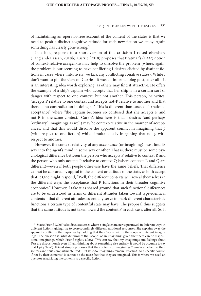of maintaining an operator-free account of the content of the states is that we need to posit a distinct cognitive attitude for each new fiction we enjoy. Again something has clearly gone wrong.<sup>9</sup>

In a blog response to a short version of this criticism I raised elsewhere (Langland-Hassan, 2018b), Currie (2018) proposes that Bratman's (1992) notion of context-relative *acceptance* may help to dissolve the problem (where, again, the problem is our seeming to have conflicting i-desires elicited by distinct fictions in cases where, intuitively, we lack any conflicting conative states). While I don't want to pin the view on Currie—it was an informal blog post, after all—it is an interesting idea worth exploring, as others may find it attractive. He offers the example of a ship's captain who accepts that her ship is in a certain sort of danger with respect to one context, but not another. This person, he writes, "accepts P relative to one context and accepts not-P relative to another and that there is no contradiction in doing so." This is different than cases of "irrational acceptance" where "the captain becomes so confused that she accepts P and not-P in the same context." Currie's idea here is that i-desires (and perhaps "ordinary" imaginings as well) may be context-relative in the manner of acceptances, and that this would dissolve the apparent conflict in imagining that *p* (with respect to one fiction) while simultaneously imagining that not-*p* with respect to another.

However, the context-relativity of any acceptance (or imagining) must find its way into the agent's mind in some way or other. That is, there must be some psychological difference between the person who accepts P relative to context R and the person who only accepts P relative to context Q (where contexts R and Q are different)—even if both people otherwise have the same beliefs. That difference cannot be captured by appeal to the content or attitude of the state, as both accept that P. One might respond, "Well, the different contexts will reveal themselves in the different ways the acceptance that P functions in their broader cognitive economies." However, I take it as shared ground that such functional differences are to be understood in terms of different attitudes taken toward type-identical contents—that different attitudes essentially serve to mark different characteristic functions a certain type of contentful state may have. The proposal thus suggests that the same attitude is not taken toward the content P in each case, after all. So it

<sup>9</sup> Stacie Friend (2003) also discusses cases where a single character is portrayed in different ways in different fictions, giving rise to correspondingly different emotional responses. She explains away the apparent conflict in the responses by holding that they "occur within the scope of different imaginings." The question is: what determines the "scope" of an imagining, given that there can be dispositional imaginings, which Friend rightly allows ("We can say that my imaginings and feelings about Tess are dispositional: even if I am thinking about something else entirely, it would be accurate to say that I pity Tess"). Friend simply proposes that the contents of imaginings "remain attached to their sources and thus compartmentalized." But *how* do imaginings remain "attached" to a specific source, if not by their contents? It cannot be the mere fact that they are imagined. This is where we need an operator relativizing the contents to a specific fiction.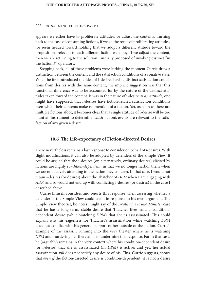appears we either have to proliferate attitudes, or adjust the contents. Turning back to the case of consuming fictions, if we go the route of proliferating attitudes, we seem headed toward holding that we adopt a different attitude toward the propositions relevant to each different fiction we enjoy. If we adjust the content, then we are returning to the solution I initially proposed of invoking distinct "in the fiction *F*" operators.

Stepping back, all of these problems were lurking the moment Currie drew a distinction between the content and the satisfaction conditions of a conative state. When he first introduced the idea of i-desires having distinct satisfaction conditions from desires with the same content, the implicit suggestion was that this functional difference was to be accounted for by the nature of the distinct attitudes taken toward the content. It was in the nature of i-desire *as an attitude*, one might have supposed, that i-desires have fiction-related satisfaction conditions even when their contents make no mention of a fiction. Yet, as soon as there are multiple fictions afoot, it becomes clear that a single attitude of i-desire will be too blunt an instrument to determine *which* fiction's events are relevant to the satisfaction of any given i-desire.

#### **10.6 The Life-expectancy of Fiction-directed Desires**

There nevertheless remains a last response to consider on behalf of i-desires. With slight modifications, it can also be adopted by defenders of the Simple View. It could be argued that the i-desires (or, alternatively, ordinary desires) elicited by fictions are highly *condition-dependent*, in that we no longer harbor them when we are not actively attending to the fiction they concern. In that case, I would not retain i-desires (or desires) about the Thatcher of *DPM* when I am engaging with *ADP*, and so would not end up with conflicting i-desires (or desires) in the case I described above.

Currie himself considers and rejects this response when assessing whether a defender of the Simple View could use it in response to his own argument. The Simple View theorist, he notes, might say of the *Death of a Prime Minister* case that he has a long-term, stable desire that Thatcher lives, and a conditiondependent desire (while watching *DPM*) that she is assassinated. This could explain why his eagerness for Thatcher's assassination while watching *DPM* does not conflict with his general support of her outside of the fiction. Currie's example of the assassin running into the very theater where he is watching *DPM* and murdering her there aims to undermine this response. For in that case, he (arguably) remains in the very context where his condition-dependent desire (or i-desire) that she is assassinated (in *DPM*) is active; and yet, her actual assassination *still* does not satisfy any desire of his. This, Currie suggests, shows that *even if* the fiction-directed desire is condition-dependent, it is not a desire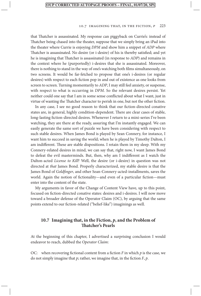that Thatcher is assassinated. My response can piggyback on Currie's: instead of Thatcher being chased into the theater, suppose that we simply bring an iPad into the theater where Currie is enjoying *DPM* and show him a snippet of *ADP* where Thatcher is assassinated. No desire (or i-desire) of his is thereby satisfied; and yet he is imagining that Thatcher is assassinated (in response to *ADP*) and remains in the context where he (purportedly) i-desires that she is assassinated. Moreover, there is nothing to stand in the way of one's watching both films simultaneously, on two screens. It would be far-fetched to propose that one's i-desires (or regular desires) with respect to each fiction pop in and out of existence as one looks from screen to screen. Turning momentarily to *ADP*, I may still feel anxiety, or suspense, with respect to what is occurring in *DPM*. So the relevant desires persist. Yet neither could one say that I am in some sense conflicted about what I want, just in virtue of wanting the Thatcher character to perish in one, but not the other fiction.

In any case, I see no good reason to think that our fiction-directed conative states are, in general, highly condition-dependent. There are clear cases of stable, long-lasting fiction-directed desires. Whenever I return to a mini-series I've been watching, they are there at the ready, assuring that I'm instantly engaged. We can easily generate the same sort of puzzle we have been considering with respect to such stable desires. When James Bond is played by Sean Connery, for instance, I want him to succeed in saving the world; when he is played by Timothy Dalton, I am indifferent. These are stable dispositions. I retain them in my sleep. With my Connery-related desires in mind, we can say that, right now, I want James Bond to defeat the evil masterminds. But, then, why am I indifferent as I watch the Dalton-acted *License to Kill*? Well, the desire (or i-desire) in question was not directed at *that* James Bond. Properly characterized, my stable desire is that the James Bond of *Goldfinger*, and other Sean-Connery-acted-installments, saves the world. Again the notion of fictionality—and even of a particular fiction—must enter into the content of the state.

My arguments in favor of the Change of Content View have, up to this point, focused on fiction-directed conative states: desires and i-desires. I will now move toward a broader defense of the Operator Claim (OC), by arguing that the same points extend to our fiction-related ("belief-like") imaginings as well.

#### **10.7 Imagining that, in the Fiction,** *p***, and the Problem of Thatcher's Pearls**

At the beginning of this chapter, I advertised a surprising conclusion I would endeavor to reach, dubbed the *Operator Claim*:

OC: when recovering fictional content from a fiction *F* in which *p* is the case, we do not simply imagine that *p*; rather, we imagine that, in the fiction *F*, *p*.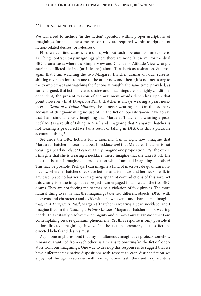We will need to include 'in the fiction' operators within proper ascriptions of imaginings for much the same reason they are required within ascriptions of fiction-related desires (or i-desires).

First, we can find cases where doing without such operators commits one to ascribing contradictory imaginings where there are none. These mirror the dual BBC drama cases where the Simple View and Change of Attitude View wrongly ascribe conflicted desires (or i-desires) about Thatcher's assassination. Suppose again that I am watching the two Margaret Thatcher dramas on dual screens, shifting my attention from one to the other now and then. (It is not necessary to the example that I am watching the fictions at roughly the same time, provided, as earlier argued, that fiction-related desires and imaginings are not highly conditiondependent; the present version of the argument avoids depending upon that point, however.) In *A Dangerous Pearl*, Thatcher is always wearing a pearl necklace; in *Death of a Prime Minister*, she is never wearing one. On the ordinary account of things—making no use of 'in the fiction' operators—we have to say that I am simultaneously imagining that Margaret Thatcher is wearing a pearl necklace (as a result of taking in *ADP*) and imagining that Margaret Thatcher is not wearing a pearl necklace (as a result of taking in *DPM*). Is this a plausible account of things?

Set aside the BBC fictions for a moment. Can I, right now, imagine that Margaret Thatcher is wearing a pearl necklace *and* that Margaret Thatcher is not wearing a pearl necklace? I can certainly imagine one proposition *after* the other: I imagine that she is wearing a necklace; then I imagine that she takes it off. The question is: can I imagine one proposition while I am still imagining the other? This may be possible. Perhaps I can imagine a kind of macro-scale quantum nonlocality, wherein Thatcher's necklace both is and is not around her neck. I will, in any case, place no barrier on imagining apparent contradictions of this sort. Yet this clearly isn't the imaginative project I am engaged in as I watch the two BBC drams. They are not forcing me to imagine a violation of folk physics. The more natural thing to say is that the imaginings take two different objects: *DPM*, with its events and characters; and *ADP*, with its own events and characters. I imagine that, in *A Dangerous Pearl*, Margaret Thatcher is wearing a pearl necklace; and I imagine that, in the *Death of a Prime Minister*, Margaret Thatcher is not wearing pearls. This instantly resolves the ambiguity and removes any suggestion that I am contemplating bizarre quantum phenomena. Yet this response is only possible if fiction-directed imaginings involve 'in the fiction' operators, just as fictiondirected beliefs and desires must.

Again one might respond that my simultaneous imaginative projects somehow remain quarantined from each other, as a means to omitting 'in the fiction' operators from our imaginings. One way to develop this response is to suggest that we have different imaginative dispositions with respect to each distinct fiction we enjoy. But this again recreates, within imagination itself, the need to quarantine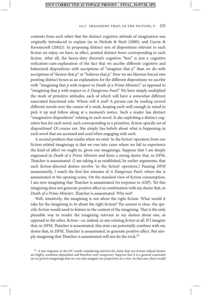contents from each other that the distinct cognitive attitude of imagination was originally introduced to explain (as in Nichols & Stich (2000), and Currie & Ravenscroft (2002)). In proposing distinct sets of dispositions relevant to each fiction we enjoy, we have, in effect, posited distinct *boxes* corresponding to each fiction. After all, the heavy-duty theorist's cognitive "box" is just a cognitive reification-cum-explanation of the fact that we ascribe different cognitive and behavioral dispositions with ascriptions of "imagines that *p*" than we do with ascriptions of "desires that *p*" or "believes that *p*." Now we are likewise forced into positing distinct boxes as an explanation for the different dispositions we ascribe with "imagining that *p* with respect to *Death of a Prime Minister*," as opposed to "imagining that *p* with respect to *A Dangerous Pearl*." We have simply multiplied the stock of primitive attitudes, each of which will have a somewhat different associated functional role. Where will it end? A person can be reading several different novels over the course of a week, keeping each well enough in mind to pick it up and follow along at a moment's notice. Such a reader has distinct "imaginative dispositions" relating to each novel. Is she exploiting a distinct cognitive box for each novel, each corresponding to a primitive, fiction-specific set of dispositions? Of course not. She simply has beliefs about what is happening in each novel that are accessed and *used* when engaging with each.

A second problem that results when we omit 'in the fiction' operators from our fiction-related imaginings is that we run into cases where we fail to experience the kind of affect we ought to, given our imaginings. Suppose that I am deeply engrossed in *Death of a Prime Minister* and form a strong desire that, in *DPM*, Thatcher is assassinated. (I am taking it as established, by earlier arguments, that such fiction-directed desires involve 'in the fiction' operators.) Pausing *DPM* momentarily, I watch the first few minutes of *A Dangerous Pearl*, where she is assassinated in the opening scene*.* On the standard view of fiction-consumption, I am now imagining that Thatcher is assassinated (in response to *ADP*). Yet this imagining does not generate positive affect in combination with my desire that, in *Death of a Prime Minister*, Thatcher is assassinated. Why not?

Well, intuitively, the imagining is not *about* the right fiction. What would it take for the imagining to *be* about the right fiction? The answer is clear: the specific fiction would need to feature in the content of the imagining. That is the only plausible way to render the imagining relevant to my desires about one, as opposed to the other, fiction—or, indeed, to any existing *fiction* at all. If I imagine that, in *DPM*, Thatcher is assassinated, this state can potentially combine with my desire that, in *DPM*, Thatcher is assassinated, to generate positive affect. But simply imagining that Thatcher is assassinated will not do the trick.<sup>10</sup>

<sup>&</sup>lt;sup>10</sup> A last response to the OC worth considering mirrors the claim that our fiction-related desires are highly condition-dependent and therefore only temporary. Suppose that it is a general constraint on *sui generis* imaginings that we can only imagine *one proposition at a time*. In that case, there would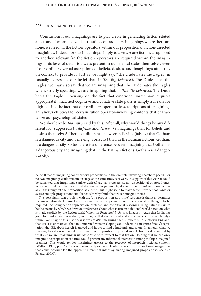Conclusion: if our imaginings are to play a role in generating fiction-related affect, and if we are to avoid attributing contradictory imaginings where there are none, we need 'in the fiction' operators within our propositional, fiction-directed imaginings. Indeed, for our imaginings simply to *concern* one fiction, as opposed to another, relevant 'in the fiction' operators are required within the imaginings. This level of detail is always present in our mental states themselves, even if our ordinary verbal ascriptions of beliefs, desires, and imaginings often rely on context to provide it. Just as we might say, "The Dude hates the Eagles" in casually expressing our belief that, in *The Big Lebowski*, The Dude hates the Eagles, we may also say that we are imagining that The Dude hates the Eagles when, strictly speaking, we are imagining that, in *The Big Lebowski*, The Dude hates the Eagles. Focusing on the fact that emotional immersion requires appropriately matched cognitive and conative state pairs is simply a means for highlighting the fact that our ordinary, operator-less, ascriptions of imaginings are always elliptical for certain fuller, operator-involving contents that characterize our psychological states.

We shouldn't be *too* surprised by this. After all, why would things be any different for (supposedly) *belief-like* and *desire-like* imaginings than for beliefs and desires themselves? There is a difference between believing (falsely) that Gotham is a dangerous city and believing (correctly) that, in the Batman fictions, Gotham is a dangerous city. So too there is a difference between imagining that Gotham is a dangerous city and imagining that, in the Batman fictions, Gotham is a dangerous city.

be no threat of imagining contradictory propositions in the example involving Thatcher's pearls. For no two imaginings could remain on stage at the same time, as it were. In support of this view, it could be remarked that imaginings (unlike desires) are *occurrent states*, not dispositional or stored ones. When we think of other occurrent states—just as judgments, decisions, and *thinkings* more generally—the (roughly) one-proposition-at-a-time limit might seem to make sense. If we cannot *judge* or *decide* multiple propositions simultaneously, why think that we can imagine them?

The most significant problem with the "one-proposition-at-a-time" response is that it undermines the main rationale for invoking imagination in the primary contexts where it is thought to be required, including fiction appreciation, pretense, and conditional reasoning. Imagination is said to be the means by which we draw out inferences about what is true in a fictional world based on what is made explicit by the fiction itself. When, in *Pride and Prejudice*, Elizabeth reads that Lydia has gone to London with Wyckham, we imagine that she is devastated and concerned for her family's future. We imagine this just because we are *also* imagining that Elizabeth is in Victorian England, that Lydia is unmarried, that an unmarried woman eloping can undermine an entire family's reputation, that Elizabeth herself is unwed and hopes to find a husband, and so on. In general, what we imagine, based on our uptake of some new proposition expressed in a fiction, is determined by what else we are imagining *at the same time*, with respect to that fiction. Holding that we can only imagine one proposition at a time would prevent any inferential interaction among multiple imagined premises. This would render imaginings useless to the recovery of inexplicit fictional content. (Walton (1990, pp. 16–18) is one who, early on, saw clearly the need for dispositional imaginings that could account for the apparent inferential interplay among imagined propositions; see also Friend (2003)).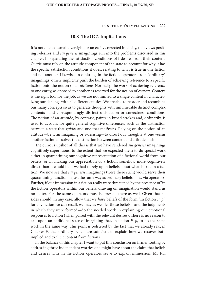#### **10.8 The OC's Implications**

It is not due to a small oversight, or an easily corrected infelicity, that views positing i-desires and *sui generis* imaginings run into the problems discussed in this chapter. In separating the satisfaction conditions of i-desires from their content, Currie must rely on the attitude component of the state to account for why it has the specific satisfaction conditions it does, relating to what is true in one fiction and not another. Likewise, in omitting 'in the fiction' operators from "ordinary" imaginings, others implicitly push the burden of achieving reference to a specific fiction onto the notion of an *attitude*. Normally, the work of achieving reference to one entity, as opposed to another, is reserved for the notion of *content*. Content is the right tool for the job, as we are not limited to a single content in characterizing our dealings with all different entities. We are able to reorder and recombine our many concepts so as to generate thoughts with innumerable distinct complex contents—and correspondingly distinct satisfaction or correctness conditions. The notion of an attitude, by contrast, paints in broad strokes and, ordinarily, is used to account for quite general cognitive differences, such as the distinction between a state that *guides* and one that *motivates*. Relying on the notion of an attitude—be it an imagining or i-desiring—to direct our thoughts at one versus another fiction dissolves the distinction between content and attitude itself.

The curious upshot of all this is that we have rendered *sui generis* imaginings cognitively superfluous, to the extent that we expected them to do special work either in quarantining our cognitive representation of a fictional world from our beliefs, or in making our appreciation of a fiction somehow more cognitively direct than it would be if we had to rely upon beliefs about what is true in a fiction. We now see that *sui generis* imaginings (were there such) would serve their quarantining function in just the same way as ordinary beliefs—i.e., via operators. Further, if our immersion in a fiction really were threatened by the presence of 'in the fiction' operators within our beliefs, drawing on imagination would stand us no better. For the same operators must be present there as well. Given that all sides should, in any case, allow that we *have* beliefs of the form "In fiction *F*, *p*," for any fiction we can recall, we may as well let those beliefs—and the judgments in which they were formed—do the needed work in explaining our emotional responses to fiction (when paired with the relevant desires). There is no reason to call upon an additional state of imagining that, in fiction  $F$ ,  $p$ , to do the same work in the same way. This point is bolstered by the fact that we already saw, in Chapter 9, that ordinary beliefs are sufficient to explain how we recover both implied and explicit content from fictions.

In the balance of this chapter I want to put this conclusion on firmer footing by addressing three independent worries one might have about the claim that beliefs and desires with 'in the fiction' operators serve to explain immersion. My full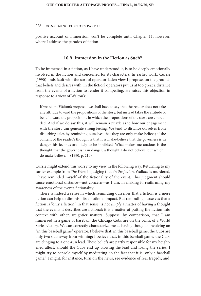positive account of immersion won't be complete until Chapter 11, however, where I address the paradox of fiction.

#### **10.9 Immersion in the Fiction as Such?**

To be immersed in a fiction, as I have understood it, is to be deeply emotionally involved in the fiction and concerned for its characters. In earlier work, Currie (1990) finds fault with the sort of operator-laden view I propose, on the grounds that beliefs and desires with 'in the fiction' operators put us at too great a distance from the events of a fiction to render it compelling. He raises this objection in response to a view of Walton's:

If we adopt Walton's proposal, we shall have to say that the reader does not take any attitude toward the propositions of the story, but instead takes the attitude of belief toward the propositions in which the propositions of the story are embedded. And if we do say this, it will remain a puzzle as to how our engagement with the story can generate strong feeling. We tend to distance ourselves from disturbing tales by reminding ourselves that they are only make-believe; if the content of the reader's thought is that it is make-believe that the governess is in danger, his feelings are likely to be inhibited. What makes me anxious is the thought that the governess is in danger: a thought I do not believe, but which I do make believe. (1990, p. 210)

Currie might extend this worry to my view in the following way. Returning to my earlier example from *The Wire*, in judging that, *in the fiction*, Wallace is murdered, I have reminded myself of the fictionality of the event. This judgment should cause emotional distance—not concern—as I am, in making it, reaffirming my awareness of the event's fictionality.

There is indeed a sense in which reminding ourselves that a fiction is a mere fiction can help to diminish its emotional impact. But reminding ourselves that a fiction is "only a fiction," in that sense, is not *simply* a matter of having a thought that the events it describes are fictional; it is a matter of putting the fiction into context with other, weightier matters. Suppose, by comparison, that I am immersed in a game of baseball: the Chicago Cubs are on the brink of a World Series victory. We can correctly characterize me as having thoughts involving an "in this baseball game" operator. I believe that, in this baseball game, the Cubs are only two outs away from winning; I believe that, in this baseball game, the Cubs are clinging to a one-run lead. These beliefs are partly responsible for my heightened affect. Should the Cubs end up blowing the lead and losing the series, I might try to console myself by meditating on the fact that it is "only a baseball game." I might, for instance, turn on the news, see evidence of real tragedy, and,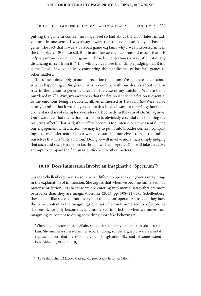putting the game in context, no longer feel so bad about the Cubs' latest misadventure. In one sense, I was always aware that the event was "only" a baseball game. The fact that it was a baseball game explains why I was interested in it in the first place; I *like* baseball. But, in another sense, I can remind myself that it is *only* a game—I can put the game in broader context—as a way of emotionally distancing myself from it.<sup>11</sup> This will involve more than simply judging that it is a game. It will involve actively comparing the significance of baseball games to other matters.

The same points apply to our appreciation of fictions. We generate beliefs about what is happening *in the fiction*, which combine with our desires about what is true in the fiction to generate affect. In the case of my watching Wallace being murdered in *The Wire*, my awareness that the fiction is indeed a fiction is essential to the emotions being bearable at all. As immersed as I was in *The Wire*, I had clearly in mind that it was only a fiction; this is why I was not *completely* horrified. (For a stark class of examples, consider dark comedy in the vein of *Dr. Strangelove*. Our awareness that the fiction is a fiction is obviously essential to explaining the resulting affect.) That said, if the affect becomes too intense or unpleasant during our engagement with a fiction, we may try to put it into broader context, comparing it to weightier matters, as a way of distancing ourselves from it, reminding ourselves that it is "only a fiction." Doing so will involve more than simply judging that such and such is a fiction (as though we had forgotten!). It will take an active attempt to compare the fiction's significance to other matters.

#### **10.10 Does Immersion Involve an Imaginative "Spectrum"?**

Susana Schellenberg makes a somewhat different appeal to *sui generis* imaginings in the explanation of immersion. She argues that when we become immersed in a pretense or fiction, it is because we are entering into mental states that are more belief-like than they are imagination-like (2013, pp. 508–11). For Schellenberg, these belief-like states do not involve 'in the fiction' operators; instead, they have the same content as the imaginings one has when not immersed in a fiction. As she sees it, we only become deeply immersed in a fiction when we move from imagining its content to doing something more like believing it:

When a good actor plays a villain, she does not simply imagine that she is a villain. She immerses herself in her role. In doing so, she arguably adopts mental representations that are to some extent imagination-like and to some extent belief-like. (2013, p. 510)

<sup>&</sup>lt;sup>11</sup> I owe this point to Maxwell Gatyas, who proposed it in conversation.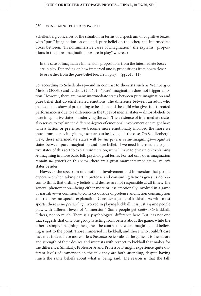Schellenberg conceives of the situation in terms of a spectrum of cognitive boxes, with "pure" imagination on one end, pure belief on the other, and intermediate boxes between. "In nonimmersive cases of imagination," she explains, "propositions in the pure-imagination box are in play," whereas:

In the case of imaginative immersion, propositions from the intermediate boxes are in play. Depending on how immersed one is, propositions from boxes closer to or farther from the pure-belief box are in play. (pp. 510–11)

So, according to Schellenberg—and in contrast to theorists such as Weinberg & Meskin (2006b) and Nichols (2006b)—"pure" imagination does not trigger emotion. However, there are many intermediate states between pure imagination and pure belief that do elicit related emotions. The difference between an adult who makes a lame show of pretending to be a lion and the child who gives full-throated performance is due to a difference in the types of mental states—almost-beliefs or pure imaginative states—underlying the acts. The existence of intermediate states also serves to explain the different *degrees* of emotional involvement one might have with a fiction or pretense: we become more emotionally involved the more we move from merely imagining a scenario to believing it is the case. On Schellenberg's view, these intermediate states will be *sui generis* semi-imaginings—cognitive states between pure imagination and pure belief. If we need intermediate cognitive states of this sort to explain immersion, we will have to give up on explaining A-imagining in more basic folk psychological terms. For not only does imagination remain *sui generis* on this view; there are a great many intermediate *sui generis* states besides.

However, the spectrum of emotional involvement and immersion that people experience when taking part in pretense and consuming fictions gives us no reason to think that ordinary beliefs and desires are not responsible at all times. The general phenomenon—being either more or less emotionally involved in a game or narrative—is common to contexts outside of pretense and fiction consumption and requires no special explanation. Consider a game of kickball. As with most sports, there is no *pretending* involved in playing kickball. It is just a game people play, with different levels of "immersion." Some people get *really into* kickball. Others, not so much. There is a psychological difference here. But it is not one that suggests that only one group is acting from beliefs about the game, while the other is simply imagining the game. The contrast between imagining and believing is not to the point. Those immersed in kickball, and those who couldn't care less, may indeed have more or less *the same* beliefs about the game. It is the nature and strength of their desires and interests with respect to kickball that makes for the difference. Similarly, Professor A and Professor B might experience quite different levels of immersion in the talk they are both attending, despite having much the same beliefs about what is being said. The reason is that the talk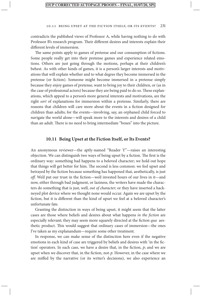contradicts the published views of Professor A, while having nothing to do with Professor B's research program. Their different desires and interests explain their different levels of immersion.

The same points apply to games of pretense and our consumption of fictions. Some people really get into their pretense games and experience related emotions. Others are just going through the motions, perhaps at their children's behest. As with other kinds of games, it is a person's larger interests and motivations that will explain whether and to what degree they become immersed in the pretense (or fiction). Someone might become immersed in a pretense simply because they enjoy games of pretense, want to bring joy to their children, or (as in the case of professional actors) because they are being paid to do so. These explanations, which appeal to a person's more general interests and motivations, are the right *sort* of explanations for immersion within a pretense. Similarly, there are reasons that children will care more about the events in a fiction designed for children than adults; for the events—involving, say, an orphaned child forced to navigate the world alone—will speak more to the interests and desires of a child than an adult. There is no need to bring intermediate "boxes" into the picture.

#### **10.11 Being Upset at the Fiction Itself, or Its Events?**

An anonymous reviewer—the aptly-named "Reader Y"—raises an interesting objection. We can distinguish two ways of being upset by a fiction. The first is the ordinary way: something bad happens to a beloved character; we hold out hope that things will get better for him. The second is less common: we feel upset and betrayed by the fiction because something has happened that, aesthetically, is just *off*. We'd put our trust in the fiction—we'd invested hours of our lives in it—and now, either through bad judgment, or laziness, the writers have made the characters do something that is just, well, *out of character*; or they have inserted a hackneyed plot device where we thought none would occur. Again we are upset by the fiction, but it is different than the kind of upset we feel at a beloved character's unfortunate fate.

Granting the distinction in ways of being upset, it might seem that the latter cases are those where beliefs and desires about what happens *in the fiction* are especially relevant; they may seem more squarely directed at the fiction *qua* aesthetic product. This would suggest that ordinary cases of immersion—the ones I've taken as my explanandum—require some other treatment.

In response, we can make sense of the distinction here even if the negative emotions in each kind of case are triggered by beliefs and desires with 'in the fiction' operators. In each case, we have a desire that, in the fiction, *p*; and we are upset when we discover that, in the fiction, not-*p.* However, in the case where we are miffed by the narrative (or its writer's decisions), we also experience an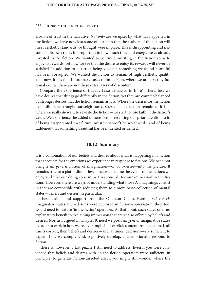erosion of trust in the narrative. *Not only* are we upset by what has happened in the fiction; we have now lost some of our faith that the authors of the fiction will meet aesthetic standards we thought were in place. This is disappointing and irksome in its own right, in proportion to how much time and energy we've already invested in the fiction. We wanted to continue investing in the fiction so as to enjoy its rewards; yet now we see that the desire to enjoy its rewards will never be satisfied. In addition to our trust being violated, something we found beautiful has been corrupted. We wanted the fiction to remain of high aesthetic quality and, now, it has not. In ordinary cases of immersion, where we are upset by fictional events, there are not these extra layers of discontent.

Compare the experience of tragedy (also discussed in fn. 6). There, too, we have desires that things go differently in the fiction; yet they are counter-balanced by stronger desires that the fiction remain as it is. Where the desires for the fiction to be different strongly outweigh our desires that the fiction remain as it is where we really *do* want to rewrite the fiction—we start to lose faith in the fiction's value. We experience the added dimensions of resenting our prior attention to it, of being disappointed that future investment won't be worthwhile, and of being saddened that something beautiful has been dented or defiled.

#### **10.12 Summary**

It is a combination of our beliefs and desires about what is happening in a fiction that accounts for the emotions we experience in response to fictions. We need not bring a *sui generis* notion of imagination—or of i-desire—into the picture. It remains true, at a platitudinous level, that we imagine the events of the fictions we enjoy and that our doing so is in part responsible for our immersion in the fictions. However, there are ways of understanding what those A-imaginings consist in that are compatible with reducing them to a more basic collection of mental states—beliefs and desires, in particular.

These claims find support from the Operator Claim. Even if *sui generis* imaginative states and i-desires were deployed in fiction-appreciation, they, too, would need to feature 'in the fiction' operators. At that point, such states offer no explanatory benefit to explaining immersion that aren't also offered by beliefs and desires. Nor, as I argued in Chapter 9, need we posit *sui generis* imaginative states in order to explain how we recover implicit or explicit content from a fiction. If all this is correct, then beliefs and desires—and, at times, decisions—are sufficient to explain how we comprehend, cognitively develop, and emotionally respond to fiction.

There is, however, a last puzzle I still need to address. Even if you were convinced that beliefs and desires with 'in the fiction' operators were sufficient, in principle, to generate fiction-directed affect, you might still wonder where the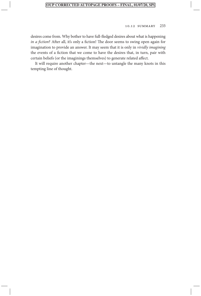desires come from. Why bother to have full-fledged desires about what is happening *in a fiction*? After all, it's only a fiction! The door seems to swing open again for imagination to provide an answer. It may seem that it is only in *vividly imagining* the events of a fiction that we come to have the desires that, in turn, pair with certain beliefs (or the imaginings themselves) to generate related affect.

It will require another chapter—the next—to untangle the many knots in this tempting line of thought.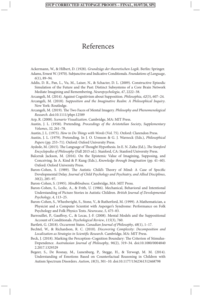### References

Ackermann, W., & Hilbert, D. (1928). *Grundzüge der theoretischen Logik*. Berlin: Springer.

- Adams, Ernest W. (1970). Subjunctive and Indicative Conditionals. *Foundations of Language*, *6*(1), 89–94.
- Addis, D. R., Pan, L., Vu, M., Laiser, N., & Schacter, D. L. (2009). Constructive Episodic Simulation of the Future and the Past: Distinct Subsystems of a Core Brain Network Mediate Imagining and Remembering. *Neuropsychologia*, *47*, 2222–38.
- Arcangeli, M. (2014). Against Cognitivism about Supposition. *Philosophia*, *42*(3), 607–24.
- Arcangeli, M. (2018). *Supposition and the Imaginative Realm: A Philosophical Inquiry*. New York: Routledge.
- Arcangeli, M. (2019). The Two Faces of Mental Imagery. *Philosophy and Phenomenological Research*. doi:10.1111/phpr.12589
- Arp, R. (2008). *Scenario Visualization*. Cambridge, MA: MIT Press.
- Austin, J. L. (1958). Pretending. *Proceedings of the Aristotelian Society*, *Supplementary Volumes*, *32*, 261–78.
- Austin, J. L. (1975). *How to Do Things with Words* (Vol. 75). Oxford: Clarendon Press.
- Austin, J. L. (1979). Pretending. In J. O. Urmson & G. J. Warnock (Eds.), *Philosophical Papers* (pp. 253–71). Oxford: Oxford University Press.
- Aydede, M. (2015). The Language of Thought Hypothesis. In E. N. Zalta (Ed.), *The Stanford Encyclopedia of Philosophy* (Fall 2015 ed.). Stanford, CA: Stanford University Press.
- Balcerak Jackson, M. (2016). On the Epistemic Value of Imagining, Supposing, and Conceiving. In A. Kind & P. Kung (Eds.), *Knowledge through Imagination* (pp. 41–60). Oxford: Oxford University Press.
- Baron-Cohen, S. (1989). The Autistic Child's Theory of Mind: A Case of Specific Developmental Delay. *Journal of Child Psychology and Psychiatry, and Allied Disciplines*, *30*(2), 285–97.
- Baron-Cohen, S. (1995). *Mindblindness*. Cambridge, MA: MIT Press.
- Baron-Cohen, S., Leslie, A., & Frith, U. (1986). Mechanical, Behavioral and Intentional Understanding of Picture Stories in Autistic Children. *British Journal of Developmental Psychology*, *4*, 113–25.
- Baron-Cohen, S., Wheelwright, S., Stone, V., & Rutherford, M. (1999). A Mathematician, a Physicist and a Computer Scientist with Asperger's Syndrome: Performance on Folk Psychology and Folk Physics Tests. *Neurocase*, *5*, 475–83.
- Barrouillet, P., Gauffroy, C., & Lecas, J.-F. (2008). Mental Models and the Suppositional Account of Conditionals. *Psychological Review*, *115*(3), 760.
- Bartlett, G. (2018). Occurrent States. *Canadian Journal of Philosophy*, *48*(1), 1–17.
- Bechtel, W., & Richardson, R. C. (2010). *Discovering Complexity: Decomposition and Localization as Strategies in Scientific Research*. Cambridge, MA: MIT Press.
- Beck, J. (2018). Marking the Perception–Cognition Boundary: The Criterion of Stimulus-Dependence. *Australasian Journal of Philosophy*, *96*(2), 319–34. doi:10.1080/0004840 2.2017.1329329
- Begeer, S., De Rosnay, M., Lunenburg, P., Stegge, H., & Terwogt, M. M. (2014). Understanding of Emotions Based on Counterfactual Reasoning in Children with Autism Spectrum Disorders. *Autism*, *18*(3), 301–10. doi:10.1177/1362361312468798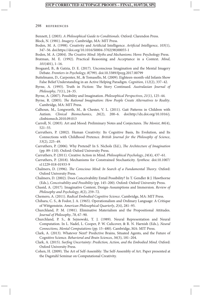- Bennett, J. (2003). *A Philosophical Guide to Conditionals*. Oxford: Clarendon Press.
- Block, N. (1981). *Imagery*. Cambridge, MA: MIT Press.
- Boden, M. A. (1998). Creativity and Artificial Intelligence. *Artificial Intelligence*, *103*(1), 347–56. do[i:https://doi.org/10.1016/S0004-3702\(98\)00055-1](https://doi.org/10.1016/S0004-3702(98)00055-1)
- Boden, M. A. (2004). *The Creative Mind: Myths and Mechanisms*. Hove: Psychology Press.
- Bratman, M. E. (1992). Practical Reasoning and Acceptance in a Context. *Mind*, *101*(401), 1–16.
- Brogaard, B., & Gatzia, D. E. (2017). Unconscious Imagination and the Mental Imagery Debate. *Frontiers in Psychology*, *8*(799). doi:10.3389/fpsyg.2017.00799
- Buttelmann, D., Carpenter, M., & Tomasello, M. (2009). Eighteen-month-old Infants Show False Belief Understanding in an Active Helping Paradigm. *Cognition*, *112*(2), 337–42.
- Byrne, A. (1993). Truth in Fiction: The Story Continued. *Australasian Journal of Philosophy*, *71*(1), 24–35.
- Byrne, A. (2007). Possibility and Imagination. *Philosophical Perspectives*, *21*(1), 125–44.
- Byrne, R. (2005). *The Rational Imagination: How People Create Alternatives to Reality*. Cambridge, MA: MIT Press.
- Calhoun, M., Longworth, M., & Chester, V. L. (2011). Gait Patterns in Children with Autism. *Clinical Biomechanics*, *26*(2), 200–6. [doi:http://dx.doi.org/10.1016/j.](doi:http://dx.doi.org/10.1016/j.clinbiomech.2010.09.013) [clinbiomech.2010.09.013](doi:http://dx.doi.org/10.1016/j.clinbiomech.2010.09.013)
- Carroll, N. (2003). Art and Mood: Preliminary Notes and Conjectures. *The Monist*, *86*(4), 521–55.
- Carruthers, P. (2002). Human Creativity: Its Cognitive Basis, Its Evolution, and Its Connections with Childhood Pretence. *British Journal for the Philosophy of Science*, *53*(2), 225–49.
- Carruthers, P. (2006). Why Pretend? In S. Nichols (Ed.), *The Architecture of Imagination* (pp. 89–110). Oxford: Oxford University Press.
- Carruthers, P. (2011). Creative Action in Mind. *Philosophical Psychology*, *24*(4), 437–61.
- Carruthers, P. (2018). Mechanisms for Constrained Stochasticity. *Synthese*. doi:10.1007/ s11229-018-01933-9
- Chalmers, D. (1996). *The Conscious Mind: In Search of a Fundamental Theory*. Oxford: Oxford University Press.
- Chalmers, D. (2002). Does Conceivability Entail Possibility? In T. Gendler & J. Hawthorne (Eds.), *Conceivability and Possibility* (pp. 145–200). Oxford: Oxford University Press.
- Chasid, A. (2017). Imaginative Content, Design-Assumptions and Immersion. *Review of Philosophy and Psychology*, *8*(2), 259–72.
- Chemero, A. (2011). *Radical Embodied Cognitive Science*. Cambridge, MA: MIT Press.
- Chihara, C. S., & Fodor, J. A. (1965). Operationalism and Ordinary Language: A Critique of Wittgenstein. *American Philosophical Quarterly*, *2*(4), 281–95.
- Churchland, P. M. (1981). Eliminative Materialism and the Propositional Attitudes. *Journal of Philosophy*, *78*, 67–90.
- Churchland, P. S., & Sejnowski, T. J. (1989). Neural Representation and Neural Computation. In L. Nadel, L. Cooper, P. W. Culicover, & R. N. Harnish (Eds.), *Neural Connections, Mental Computations* (pp. 15–480). Cambridge, MA: MIT Press.
- Clark, A. (2013). Whatever Next? Predictive Brains, Situated Agents, and the Future of Cognitive Science. *Behavioral and Brain Sciences*, *36*(3), 181–204.
- Clark, A. (2015). *Surfing Uncertainty: Prediction, Action, and the Embodied Mind*. Oxford: Oxford University Press.
- Cohen, H. (2009). The Art of Self-Assembly: The Self-Assembly of Art. Paper presented at the Dagstuhl Seminar on Computational Creativity.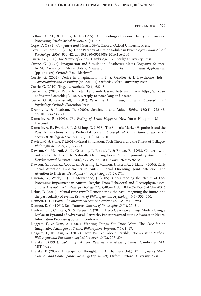- Collins, A. M., & Loftus, E. F. (1975). A Spreading-activation Theory of Semantic Processing. *Psychological Review*, *82*(6), 407.
- Cope, D. (1991). *Computers and Musical Style*. Oxford: Oxford University Press.
- Cova, F., & Teroni, F. (2016). Is the Paradox of Fiction Soluble in Psychology? *Philosophical Psychology*, *29*(6), 930–42. doi:10.1080/09515089.2016.1164306
- Currie, G. (1990). *The Nature of Fiction*. Cambridge: Cambridge University Press.
- Currie, G. (1995). Imagination and Simulation: Aesthetics Meets Cognitive Science. In M. Davies & T. Stone (Eds.), *Mental Simulation: Evaluations and Applications* (pp. 151–69). Oxford: Basil Blackwell.
- Currie, G. (2002). Desire in Imagination. In T. S. Gendler & J. Hawthorne (Eds.), *Conceivability and Possibility* (pp. 201–21). Oxford: Oxford University Press.
- Currie, G. (2010). Tragedy. *Analysis*, *70*(4), 632–8.
- Currie, G. (2018). Reply to Peter Langland-Hassan. Retrieved from [https://junkyar](https://junkyardofthemind.com/blog/2018/7/17/reply-to-peter-langland-hassan)[dofthemind.com/blog/2018/7/17/reply-to-peter-langland-hassan](https://junkyardofthemind.com/blog/2018/7/17/reply-to-peter-langland-hassan)
- Currie, G., & Ravenscroft, I. (2002). *Recreative Minds: Imagination in Philosophy and Psychology*. Oxford: Clarendon Press.
- D'Arms, J., & Jacobson, D. (2000). Sentiment and Value. *Ethics*, *110*(4), 722–48. doi:10.1086/233371
- Damasio, A. R. (1999). *The Feeling of What Happens*. New York: Houghton Mifflin Harcourt.
- Damasio, A. R., Everitt, B. J., & Bishop, D. (1996). The Somatic Marker Hypothesis and the Possible Functions of the Prefrontal Cortex. *Philosophical Transactions of the Royal Society B: Biological Sciences*, *351*(1346), 1413–20.
- Davies, M., & Stone, T. (2001). Mental Simulation, Tacit Theory, and the Threat of Collapse. *Philosophical Topics*, *29*, 127–73.
- Dawson, G., Meltzoff, A. N., Osterling, J., Rinaldi, J., & Brown, E. (1998). Children with Autism Fail to Orient to Naturally Occurring Social Stimuli. *Journal of Autism and Developmental Disorders*, *28*(6), 479–85. doi:10.1023/a:1026043926488
- Dawson, G., Toth, K., Abbott, R., Osterling, J., Munson, J., Estes, A., & Liaw, J. (2004). Early Social Attention Impairments in Autism: Social Orienting, Joint Attention, and Attention to Distress. *Developmental Psychology*, *40*(2), 271.
- Dawson, G., Webb, S. J., & McPartland, J. (2005). Understanding the Nature of Face Processing Impairment in Autism: Insights From Behavioral and Electrophysiological Studies. *Developmental Neuropsychology*, *27*(3), 403–24. doi:10.1207/s15326942dn2703\_6
- Debus, D. (2014). 'Mental time travel': Remembering the past, imagining the future, and the particularity of events. *Review of Philosophy and Psychology, 5*(3), 333–350.
- Dennett, D. C. (1989). *The Intentional Stance*. Cambridge, MA: MIT Press.
- Dennett, D. C. (1991). Real Patterns. *Journal of Philosophy*, *88*(1), 27–51.

Denton, E. L., Chintala, S., & Fergus, R. (2015). Deep Generative Image Models Using a Laplacian Pyramid of Adversarial Networks*.* Paper presented at the Advances in Neural Information Processing Systems Conference.

- Doggett, T., & Egan, A. (2007). Wanting Things You Don't Want: The Case for an Imaginative Analogue of Desire. *Philosophers' Imprint*, *7*(9), 1–17.
- Doggett, T., & Egan, A. (2012). How We Feel about Terrible, Non-existent Mafiosi. *Philosophy and Phenomenological Research*, *84*(2), 277–306.
- Dretske, F. (1991). *Explaining Behavior: Reasons in a World of Causes*. Cambridge, MA: MIT Press.
- Dretske, F. (2002). A Recipe for Thought. In D. Chalmers (Ed.), *Philosophy of Mind: Classical and Contemporary Readings* (pp. 491–9). Oxford: Oxford University Press.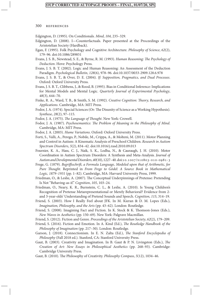Edgington, D. (1995). On Conditionals. *Mind*, *104*, 235–329.

- Edgington, D. (2008). I—Counterfactuals*.* Paper presented at the Proceedings of the Aristotelian Society (Hardback).
- Egan, F. (1995). Folk Psychology and Cognitive Architecture. *Philosophy of Science*, *62*(2), 179–96. doi:10.1086/289851
- Evans, J. S. B., Newstead, S. E., & Byrne, R. M. (1993). *Human Reasoning: The Psychology of Deduction*. Hove: Psychology Press.
- Evans, J. S. B. T. (2002). Logic and Human Reasoning: An Assessment of the Deduction Paradigm. *Psychological Bulletin*, *128*(6), 978–96. doi:10.1037/0033-2909.128.6.978
- Evans, J. S. B. T., & Over, D. E. (2004). *If: Supposition, Pragmatics, and Dual Processes*. Oxford: Oxford University Press.
- Evans, J. S. B. T., Clibbens, J., & Rood, B. (1995). Bias in Conditional Inference: Implications for Mental Models and Mental Logic. *Quarterly Journal of Experimental Psychology*, *48*(3), 644–70.
- Finke, R. A., Ward, T. B., & Smith, S. M. (1992). *Creative Cognition: Theory, Research, and Applications*. Cambridge, MA: MIT Press.
- Fodor, J. A. (1974). Special Sciences (Or: The Disunity of Science as a Working Hypothesis). *Synthese*, *28*(2), 97–115.
- Fodor, J. A. (1975). *The Language of Thought*. New York: Crowell.
- Fodor, J. A. (1987). *Psychosemantics: The Problem of Meaning in the Philosophy of Mind*. Cambridge, MA: MIT Press.
- Fodor, J. A. (2003). *Hume Variations*. Oxford: Oxford University Press.
- Forti, S., Valli, A., Perego, P., Nobile, M., Crippa, A., & Molteni, M. (2011). Motor Planning and Control in Autism: A Kinematic Analysis of Preschool Children. *Research in Autism Spectrum Disorders*, *5*(2), 834–42. doi:10.1016/j.rasd.2010.09.013
- Fournier, K. A., Hass, C. J., Naik, S. K., Lodha, N., & Cauraugh, J. H. (2010). Motor Coordination in Autism Spectrum Disorders: A Synthesis and Meta-Analysis. *Journal of Autism and Developmental Disorders*, *40*(10), 1227–40. doi:10.1007/s10803-010-0981-3
- Frege, G. (1879). *Begriffsschrift, a Formula Language, Modeled upon that of Arithmetic, for Pure Thought*. Reprinted in *From Frege to Gödel: A Source Book in Mathematical Logic, 1879–1931* (pp. 1–82). Cambridge, MA: Harvard University Press, 1999.
- Friedman, O., & Leslie, A. (2007). The Conceptual Underpinnings of Pretense: Pretending Is Not "Behaving-as-if." *Cognition*, *105*, 103–24.
- Friedman, O., Neary, K. R., Burnstein, C. L., & Leslie, A. (2010). Is Young Children's Recognition of Pretense Metarepresentational or Merely Behavioral? Evidence from 2 and 3-year-olds' Understanding of Pretend Sounds and Speech. *Cognition*, *115*, 314–19.
- Friend, S. (2003). How I Really Feel about JFK. In M. Kieran & D. M. Lopes (Eds.), *Imagination, Philosophy, and the Arts* (pp. 43–62). London: Routledge.
- Friend, S. (2008). Imagining Fact and Fiction. In K. Stock & K. Thomson-Jones (Eds.), *New Waves in Aesthetics* (pp. 150–69). New York: Palgrave Macmillan.
- Friend, S. (2012). Fiction and Genre. *Proceedings of the Aristotelian Society*, *62*(2), 179–209.
- Friend, S. (2016). Fiction and Emotion. In A. Kind (Ed.), *The Routledge Handbook of the Philosophy of Imagination* (pp. 217–30). London: Routledge.
- Garson, J. (2018). Connectionism. In E. N. Zalta (Ed.), *The Stanford Encyclopedia of Philosophy* (Fall 2018 ed.). Stanford, CA: Stanford University Press.
- Gaut, B. (2003). Creativity and Imagination. In B. Gaut & P. N. Livingston (Eds.), *The Creation of Art: New Essays in Philosophical Aesthetics* (pp. 268–93). Cambridge: Cambridge University Press.
- Gaut, B. (2010). The Philosophy of Creativity. *Philosophy Compass*, *5*(12), 1034–46.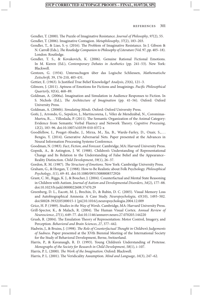Gendler, T. (2000). The Puzzle of Imaginative Resistance. *Journal of Philosophy*, *97*(2), 55.

- Gendler, T. (2006). Imaginative Contagion. *Metaphilosophy*, *37*(2), 183–203.
- Gendler, T., & Liao, S.-y. (2016). The Problem of Imaginative Resistance. In J. Gibson & N. Carroll (Eds.), *The Routledge Companion to Philosophy of Literature* (Vol. 97, pp. 405–18). London: Routledge.
- Gendler, T. S., & Kovakovich, K. (2006). Genuine Rational Fictional Emotions. In M. Kieren (Ed.), *Contemporary Debates in Aesthetics* (pp. 241–53). New York: Blackwell.
- Gentzen, G. (1934). Untersuchugen über das Logische Schliessen, *Mathematische Zeitschrift,* 39, 176-210, 405-431.
- Gettier, E. (1963). Is Justified True Belief Knowledge? *Analysis*, *23*(6), 121–3.
- Gilmore, J. (2011). Aptness of Emotions for Fictions and Imaginings. *Pacific Philosophical Quarterly*, *92*(4), 468–89.
- Goldman, A. (2006a). Imagination and Simulation in Audience Responses to Fiction. In S. Nichols (Ed.), *The Architecture of Imagination* (pp. 41–56). Oxford: Oxford University Press.
- Goldman, A. (2006b). *Simulating Minds*. Oxford: Oxford University Press.
- Goñi, J., Arrondo, G., Sepulcre, J., Martincorena, I., Vélez de Mendizábal, N., Corominas-Murtra, B., ... Villoslada, P. (2011). The Semantic Organization of the Animal Category: Evidence from Semantic Verbal Fluency and Network Theory. *Cognitive Processing*, *12*(2), 183–96. doi:10.1007/s10339-010-0372-x
- Goodfellow, I., Pouget-Abadie, J., Mirza, M., Xu, B., Warde-Farley, D., Ozair, S., . . . Bengio, Y. (2014). Generative Adversarial Nets. Paper presented at the Advances in Neural Information Processing Systems Conference.
- Goodman, N. (1983). *Fact, Fiction, and Forecast*. Cambridge, MA: Harvard University Press.
- Gopnik, A., & Astington, J. W. (1988). Children's Understanding of Representational Change and Its Relation to the Understanding of False Belief and the Appearance– Reality Distinction. *Child Development*, *59*(1), 26–37.
- Gordon, R. M. (1987). *The Structure of Emotions*. New York: Cambridge University Press.
- Graham, G., & Horgan, T. (1988). How to Be Realistic about Folk Psychology. *Philosophical Psychology*, *1*(1), 69–81. doi:10.1080/09515088808572926
- Grant, C. M., Riggs, K. J., & Boucher, J. (2004). Counterfactual and Mental State Reasoning in Children with Autism. *Journal of Autism and Developmental Disorders*, *34*(2), 177–88. doi:10.1023/b:jadd.0000022608.57470.29
- Greenberg, D. L., Eacott, M. J., Brechin, D., & Rubin, D. C. (2005). Visual Memory Loss and Autobiographical Amnesia: A Case Study. *Neuropsychologia*, *43*(10), 1493–502. doi:S0028-3932(05)00015-1 [pii]10.1016/j.neuropsychologia.2004.12.009
- Grice, H. P. (1989). *Studies in the Way of Words*. Cambridge, MA: Harvard University Press.
- Grill-Spector, K., & Malach, R. (2004). The Human Visual Cortex. *Annual Review of Neuroscience*, *27*(1), 649–77. doi:10.1146/annurev.neuro.27.070203.144220
- Grush, R. (2004). The Emulation Theory of Representation: Motor Control, Imagery, and Perception. *Behavioral and Brain Sciences*, *27*, 377–442.
- Hadwin, J., & Bruins, J. (1998). *The Role of Counterfactual Thought in Children's Judgements of Sadness*. Paper presented at the XVth Biennial Meeting of the International Society for the Study of Behavioral Development, Berne, Switzerland.
- Harris, P., & Kavanaugh, R. D. (1993). Young Children's Understanding of Pretense. *Monographs of the Society for Research in Child Development*, *58*(1), i–107.
- Harris, P. L. (2000). *The Work of the Imagination*. Oxford: Blackwell.
- Harris, P. L. (2001). The Veridicality Assumption. *Mind and Language*, *16*(3), 247–62.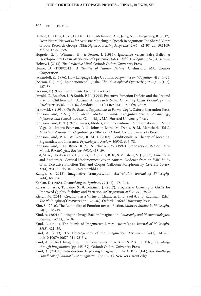- Hinton, G., Deng, L., Yu, D., Dahl, G. E., Mohamed, A. r., Jaitly, N., . . .Kingsbury, B. (2012). Deep Neural Networks for Acoustic Modeling in Speech Recognition: The Shared Views of Four Research Groups. *IEEE Signal Processing Magazine*, *29*(6), 82–97. doi:10.1109/ MSP.2012.2205597
- Hogrefe, G.-J., Wimmer, H., & Perner, J. (1986). Ignorance versus False Belief: A Developmental Lag in Attribution of Epistemic States. *Child Development*, *57*(3), 567–82. Hohwy, J. (2013). *The Predictive Mind*. Oxford: Oxford University Press.
- Hume, D. (1738/2012). *A Treatise of Human Nature*. Chelmsford, MA: Courier Corporation.
- Jackendoff, R. (1996). How Language Helps Us Think. *Pragmatics and Cognition*, *4*(1), 1–34.
- Jackson, F. (1982). Epiphenomenal Qualia. *The Philosophical Quarterly (1950-)*, *32*(127), 127–36.
- Jackson, F. (1987). *Conditionals*. Oxford: Blackwell.
- Jarrold, C., Boucher, J., & Smith, P. K. (1994). Executive Function Deficits and the Pretend Play of Children with Autism: A Research Note. *Journal of Child Psychology and Psychiatry*, *35*(8), 1473–82. doi:doi:10.1111/j.1469-7610.1994.tb01288.x

Jaśkowski, S. (1934). *On the Rules of Suppositions in Formal Logic*. Oxford: Clarendon Press.

- Johnson-Laird, P. N. (1983). *Mental Models: Towards a Cognitive Science of Language, Inference, and Consciousness*. Cambridge, MA: Harvard University Press.
- Johnson-Laird, P. N. (1996). Images, Models, and Propositional Representations. In M. de Vega, M. Intons-Peterson, P. N. Johnson-Laird, M. Denis, & M. Marschark (Eds.), *Models of Visuospatial Cognition* (pp. 90–127). Oxford: Oxford University Press.
- Johnson-Laird, P. N., & Byrne, R. M. J. (2002). Conditionals: A Theory of Meaning, Prgamatics, and Inference. *Psychological Review*, *109*(4), 646–78.
- Johnson-Laird, P. N., Byrne, R. M., & Schaeken, W. (1992). Propositional Reasoning by Model. *Psychological Review*, *99*(3), 418–39.
- Just, M. A., Cherkassky, V. L., Keller, T. A., Kana, R. K., & Minshew, N. J. (2007). Functional and Anatomical Cortical Underconnectivity in Autism: Evidence from an fMRI Study of an Executive Function Task and Corpus Callosum Morphometry. *Cerebral Cortex*, *17*(4), 951–61. doi:10.1093/cercor/bhl006
- Kampa, S. (2018). Imaginative Transportation. *Australasian Journal of Philosophy*, *96*(4), 683–96.
- Kaplan, D. (1968). Quantifying in. *Synthese*, *19*(1–2), 178–214.
- Karras, T., Aila, T., Laine, S., & Lehtinen, J. (2017). Progressive Growing of GANs for Improved Quality, Stability, and Variation. *arXiv preprint arXiv:1710.10196*.
- Kieran, M. (2014). Creativity as a Virtue of Character. In E. Paul & S. B. Kaufman (Eds.), *The Philosophy of Creativity* (pp. 125–46). Oxford: Oxford University Press.
- Kim, S. (2010). The Rationality of Emotion toward Fiction. *Midwest Studies in Philosophy*, *34*(1), 106–19.
- Kind, A. (2001). Putting the Image Back in Imagination. *Philosophy and Phenomenological Research*, *62*(1), 85–109.
- Kind, A. (2011). The Puzzle of Imaginative Desire. *Australasian Journal of Philosophy*, *89*(3), 421–39.
- Kind, A. (2013). The Heterogeneity of the Imagination. *Erkenntnis*, *78*(1), 141–59. doi:10.1007/s10670-011-9313-z
- Kind, A. (2016a). Imagining under Constraints. In A. Kind & P. Kung (Eds.), *Knowledge through Imagination* (pp. 145–59). Oxford: Oxford University Press.
- Kind, A. (2016b). Introduction: Exploring Imagination. In A. Kind (Ed.), *The Routledge Handbook of Philosophy of Imagination* (pp. 1–11). New York: Routledge.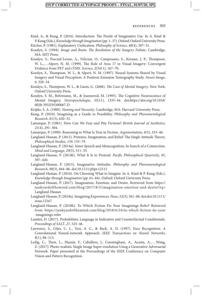- Kind, A., & Kung, P. (2016). Introduction: The Puzzle of Imaginative Use. In A. Kind & P. Kung (Eds.), *Knowledge through Imagination* (pp. 1–37). Oxford: Oxford University Press.
- Kitcher, P. (1981). Explanatory Unification. *Philosophy of Science*, *48*(4), 507–31.
- Kosslyn, S. (1994). *Image and Brain: The Resolution of the Imagery Debate*. Cambridge, MA: MIT Press.
- Kosslyn, S., Pascual-Leone, A., Felician, O., Camposano, S., Keenan, J. P., Thompson, W. L.,... Alpert, N. M. (1999). The Role of Area 17 in Visual Imagery: Convergent Evidence from PET and rTMS. *Science*, *2*(5411), 167–70.
- Kosslyn, S., Thompson, W. L., & Alpert, N. M. (1997). Neural Systems Shared by Visual Imagery and Visual Perception: A Positron Emission Tomography Study. *Neuro-Image*, *6*, 320–34.
- Kosslyn, S., Thompson, W. L., & Ganis, G. (2006). *The Case of Mental Imagery*. New York: Oxford University Press.
- Kosslyn, S. M., Behrmann, M., & Jeannerod, M. (1995). The Cognitive Neuroscience of Mental Imagery. *Neuropsychologia*, *33*(11), 1335–44. [doi:https://doi.org/10.1016/](doi:https://doi.org/10.1016/0028-3932(95)00067-D) [0028-3932\(95\)00067-D](doi:https://doi.org/10.1016/0028-3932(95)00067-D)
- Kripke, S. A. (1980). *Naming and Necessity*. Cambridge, MA: Harvard University Press.
- Kung, P. (2010). Imagining as a Guide to Possibility. *Philosophy and Phenomenological Research*, *81*(3), 620–33.
- Lamarque, P. (1981). How Can We Fear and Pity Fictions? *British Journal of Aesthetics*, *21*(4), 291–304.
- Lamarque, P. (1990). Reasoning to What Is True in Fiction. *Argumentation*, *4*(3), 333–46.
- Langland-Hassan, P. (2012). Pretense, Imagination, and Belief: The Single Attitude Theory. *Philosophical Studies*, *159*, 155–79.
- Langland-Hassan, P. (2014a). Inner Speech and Metacognition: In Search of a Connection. *Mind and Language*, *29*(5), 511–33.
- Langland-Hassan, P. (2014b). What It Is to Pretend. *Pacific Philosophical Quarterly*, *95*, 397–420.
- Langland-Hassan, P. (2015). Imaginative Attitudes. *Philosophy and Phenomenological Research*, *90*(3), 664–86. doi:10.1111/phpr.12115
- Langland-Hassan, P. (2016). On Choosing What to Imagine. In A. Kind & P. Kung (Eds.), *Knowledge through Imagination* (pp. 61–84). Oxford: Oxford University Press.
- Langland-Hassan, P. (2017). Imagination, Emotion, and Desire. Retrieved fro[m https://](https://junkyardofthemind.com/blog/2017/8/5/imagination-emotion-and-desire?rq=Langland-Hassan) [junkyardofthemind.com/blog/2017/8/5/imagination-emotion-and-desire?rq=](https://junkyardofthemind.com/blog/2017/8/5/imagination-emotion-and-desire?rq=Langland-Hassan) [Langland-Hassan](https://junkyardofthemind.com/blog/2017/8/5/imagination-emotion-and-desire?rq=Langland-Hassan)
- Langland-Hassan, P. (2018a). Imagining Experiences. *Nous*, *52*(3), 561–86. doi:doi:10.1111/ nous.12167
- Langland-Hassan, P. (2018b). To Which Fiction Do Your Imaginings Refer? Retrieved from [https://junkyardofthemind.com/blog/2018/6/24/to-which-fiction-do-your](https://junkyardofthemind.com/blog/2018/6/24/to-which-fiction-do-your-imaginings-refer) [-imaginings-refer](https://junkyardofthemind.com/blog/2018/6/24/to-which-fiction-do-your-imaginings-refer)
- Lassiter, D. (2017). Probabilistic Language in Indicative and Counterfactual Conditionals. *Proceedings of SALT*, *27*, 525–46.
- Lawrence, S., Giles, C. L., Tsoi, A. C., & Back, A. D. (1997). Face Recognition: A Convolutional Neural-network Approach. *IEEE Transactions on Neural Networks*, *8*(1), 98–113.
- Ledig, C., Theis, L., Huszár, F., Caballero, J., Cunningham, A., Acosta, A., ... Wang, Z. (2017). Photo-realistic Single Image Super-resolution Using a Generative Adversarial Network. Paper presented at the Proceedings of the IEEE Conference on Computer Vision and Pattern Recognition.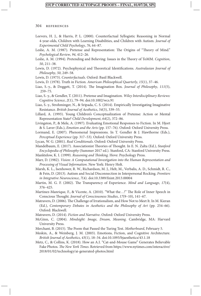- Leevers, H. J., & Harris, P. L. (2000). Counterfactual Syllogistic Reasoning in Normal 4-year-olds, Children with Learning Disabilities, and Children with Autism. *Journal of Experimental Child Psychology*, *76*, 64–87.
- Leslie, A. M. (1987). Pretense and Representation: The Origins of "Theory of Mind." *Psychological Review*, *94*, 412–26.
- Leslie, A. M. (1994). Pretending and Believing: Issues in the Theory of ToMM. *Cognition*, *50*, 211–38.
- Lewis, D. (1972). Psychophysical and Theoretical Identifications. *Australasian Journal of Philosophy*, *50*, 249–58.
- Lewis, D. (1973). *Counterfactuals*. Oxford: Basil Blackwell.
- Lewis, D. (1978). Truth in Fiction. *American Philosophical Quarterly*, *15*(1), 37–46.
- Liao, S.-y., & Doggett, T. (2014). The Imagination Box. *Journal of Philosophy*, *111*(5), 259–75.
- Liao, S.-y., & Gendler, T. (2011). Pretense and Imagination. *Wiley Interdisciplinary Reviews: Cognitive Science*, *2*(1), 79–94. doi:10.1002/wcs.91
- Liao, S.-y., Strohminger, N., & Sripada, C. S. (2014). Empirically Investigating Imaginative Resistance. *British Journal of Aesthetics*, *54*(3), 339–55.
- Lillard, A. (1993). Young Children's Conceptualization of Pretense: Action or Mental Representation State? *Child Development*, *64*(2), 372–86.
- Livingston, P., & Mele, A. (1997). Evaluating Emotional Responses to Fiction. In M. Hjort & S. Laver (Eds.), *Emotion and the Arts* (pp. 157–76). Oxford: Oxford University Press.
- Lormand, E. (2007). Phenomenal Impressions. In T. Gendler & J. Hawthorne (Eds.), *Perceptual Experience* (pp. 317–53). Oxford: Oxford University Press.
- Lycan, W. G. (2001). *Real Conditionals*. Oxford: Oxford University Press.
- Mandelbaum, E. (2017). Associationist Theories of Thought. In E. N. Zalta (Ed.), *Stanford Encyclopedia of Philosophy* (Summer 2017 ed.). Stanford, CA: Stanford University Press.
- Manktelow, K. I. (1999). *Reasoning and Thinking*. Hove: Psychology Press.
- Marr, D. (1982). *Vision: A Computational Investigation into the Human Representation and Processing of Visual Information*. New York: Henry Holt.
- Marsh, K. L., Isenhower, R. W., Richardson, M. J., Helt, M., Verbalis, A. D., Schmidt, R. C., & Fein, D. (2013). Autism and Social Disconnection in Interpersonal Rocking. *Frontiers in Integrative Neuroscience*, *7*(4). doi:10.3389/fnint.2013.00004
- Martin, M. G. F. (2002). The Transparency of Experience. *Mind and Language*, *17*(4), 376–425.
- Martinez-Manrique, F., & Vicente, A. (2010). "What the…!" The Role of Inner Speech in Conscious Thought. *Journal of Consciousness Studies*, *17*(9–10), 141–67.
- Matravers, D. (2006). The Challenge of Irrationalism, and How Not to Meet It. In M. Kieran (Ed.), *Contemporary Debates in Aesthetics and the Philosophy of Art* (pp. 254–66). Oxford: Blackwell.
- Matravers, D. (2014). *Fiction and Narrative*. Oxford: Oxford University Press.
- McGinn, C. (2004). *Mindsight: Image, Dream, Meaning*. Cambridge, MA: Harvard University Press.
- Merchant, B. (2015). The Poem that Passed the Turing Test. *Motherboard*, February 5.
- Meskin, A., & Weinberg, J. M. (2003). Emotions, Fiction, and Cognitive Architecture. *British Journal of Aesthetics*, *43*(1), 18–34. doi:10.1093/bjaesthetics/43.1.18
- Metz, C., & Collins, K. (2018). How an A.I. "Cat-and-Mouse Game" Generates Believable Fake Photos. *The New York Times*. Retrieved fro[m https://www.nytimes.com/interactive/](https://www.nytimes.com/interactive/2018/01/02/technology/ai-generated-photos.html) [2018/01/02/technology/ai-generated-photos.html](https://www.nytimes.com/interactive/2018/01/02/technology/ai-generated-photos.html)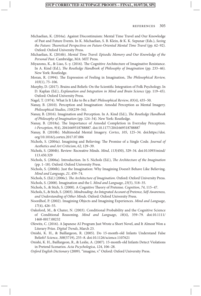- Michaelian, K. (2016a). Against Discontinuism: Mental Time Travel and Our Knowledge of Past and Future Events. In K. Michaelian, S. B. Klein, & K. K. Szpunar (Eds.), *Seeing the Future: Theoretical Perspectives on Future-Oriented Mental Time Travel* (pp. 62–92). Oxford: Oxford University Press.
- Michaelian, K. (2016b). *Mental Time Travel: Episodic Memory and Our Knowledge of the Personal Past*. Cambridge, MA: MIT Press.
- Miyazono, K., & Liao, S.-y. (2016). The Cognitive Architecture of Imaginative Resistance. In A. Kind (Ed.), *The Routledge Handbook of Philosophy of Imagination* (pp. 233–46). New York: Routledge.
- Moran, R. (1994). The Expression of Feeling in Imagination, *The Philosophical Review, 103*(1), 75–106.
- Murphy, D. (2017). Brains and Beliefs: On the Scientific Integration of Folk Psychology. In D. Kaplan (Ed.), *Explanation and Integration in Mind and Brain Science* (pp. 119–45). Oxford: Oxford University Press.
- Nagel, T. (1974). What Is It Like to Be a Bat? *Philosophical Review*, *83*(4), 435–50.
- Nanay, B. (2010). Perception and Imagination: Amodal Perception as Mental Imagery. *Philosophical Studies*, *150*(239–54).
- Nanay, B. (2016). Imagination and Perception. In A. Kind (Ed.), *The Routledge Handbook of Philosophy of Imagination* (pp. 124–34). New York: Routledge.
- Nanay, B. (2018a). The Importance of Amodal Completion in Everyday Perception. *i-Perception*, *9*(4), 2041669518788887. doi:10.1177/2041669518788887
- Nanay, B. (2018b). Multimodal Mental Imagery. *Cortex*, *105*, 125–34[. doi:https://doi.](doi:https://doi.org/10.1016/j.cortex.2017.07.006) [org/10.1016/j.cortex.2017.07.006](doi:https://doi.org/10.1016/j.cortex.2017.07.006)
- Nichols, S. (2004a). Imagining and Believing: The Promise of a Single Code. *Journal of Aesthetics and Art Criticism*, *62*, 129–39.
- Nichols, S. (2004b). Review: Recreative Minds. *Mind*, *113*(450), 329–34. doi:10.1093/mind/ 113.450.329
- Nichols, S. (2006a). Introduction. In S. Nichols (Ed.), *The Architecture of the Imagination* (pp. 1–18). Oxford: Oxford University Press.
- Nichols, S. (2006b). Just the Imagination: Why Imagining Doesn't Behave Like Believing. *Mind and Language*, *21*, 459–74.
- Nichols, S. (Ed.) (2006c). *The Architecture of Imagination*. Oxford: Oxford University Press.
- Nichols, S. (2008). Imagination and the I. *Mind and Language*, *23*(5), 518–35.
- Nichols, S., & Stich, S. (2000). A Cognitive Theory of Pretense. *Cognition*, *74*, 115–47.
- Nichols, S., & Stich, S. (2003). *Mindreading: An Integrated Account of Pretence, Self-Awareness, and Understanding of Other Minds*. Oxford: Oxford University Press.
- Noordhof, P. (2002). Imagining Objects and Imagining Experiences. *Mind and Language*, *17*(4), 426–55.
- Oaksford, M., & Chater, N. (2003). Conditional Probability and the Cognitive Science of Conditional Reasoning. *Mind and Language*, *18*(4), 359–79. doi:10.1111/ 1468-0017.00232
- Olewitz, C. (2016). A Japanese AI Program Just Wrote a Short Novel, and It Almost Won a Literary Prize. *Digital Trends*, March 23.
- Onishi, K. H., & Baillargeon, R. (2005). Do 15-month-old Infants Understand False Beliefs? *Science*, *308*(5719), 255–8. doi:10.1126/science.1107621
- Onishi, K. H., Baillargeon, R., & Leslie, A. (2007). 15-month-old Infants Detect Violations in Pretend Scenarios. *Acta Pscychologica*, *124*, 106–28.
- *Oxford English Dictionary* (2009). "imagine, v." Oxford: Oxford University Press.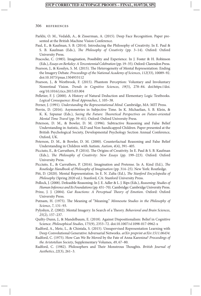- Parkhi, O. M., Vedaldi, A., & Zisserman, A. (2015). Deep Face Recognition. Paper presented at the British Machine Vision Conference.
- Paul, E., & Kaufman, S. B. (2014). Introducing the Philosophy of Creativity. In E. Paul & S. B. Kaufman (Eds.), *The Philosophy of Creativity* (pp. 3–14). Oxford: Oxford University Press.
- Peacocke, C. (1985). Imagination, Possibility and Experience. In J. Foster & H. Robinson (Eds.), *Essays on Berkeley: A Tercentennial Celebration* (pp. 19–35). Oxford: Clarendon Press.
- Pearson, J., & Kosslyn, S. M. (2015). The Heterogeneity of Mental Representation: Ending the Imagery Debate. *Proceedings of the National Academy of Sciences*, *112*(33), 10089–92. doi:10.1073/pnas.1504933112
- Pearson, J., & Westbrook, F. (2015). Phantom Perception: Voluntary and Involuntary Nonretinal Vision. *Trends in Cognitive Sciences*, *19*(5), 278–84. [doi:https://doi.](doi:https://doi.org/10.1016/j.tics.2015.03.004) [org/10.1016/j.tics.2015.03.004](doi:https://doi.org/10.1016/j.tics.2015.03.004)
- Pelletier, F. J. (2000). A History of Natural Deduction and Elementary Logic Textbooks. *Logical Consequence: Rival Approaches*, *1*, 105–38.
- Perner, J. (1991). *Understanding the Representational Mind*. Cambridge, MA: MIT Press.
- Perrin, D. (2016). Asymmetries in Subjective Time. In K. Michaelian, S. B. Klein, & K. K. Szpunar (Eds.), *Seeing the Future: Theoretical Perspectives on Future-oriented Mental Time Travel* (pp. 39–61). Oxford: Oxford University Press.
- Peterson, D. M., & Bowler, D. M. (1996). Subtractive Reasoning and False Belief Understanding in Autistic, SLD and Non-handicapped Children. Paper presented at the British Psychological Society, Developmental Psychology Section Annual Conference, Oxford, UK.
- Peterson, D. M., & Bowler, D. M. (2000). Counterfactual Reasoning and False Belief Understanding in Children with Autism. *Autism*, *4*(4), 391–405.
- Picciuto, E., & Carruthers, P. (2014). The Origins of Creativity. In E. Paul & S. B. Kaufman (Eds.), *The Philosophy of Creativity: New Essays* (pp. 199–223). Oxford: Oxford University Press.
- Picciuto, E., & Carruthers, P. (2016). Imagination and Pretense. In A. Kind (Ed.), *The Routledge Handbook of Philosophy of Imagination* (pp. 314–25). New York: Routledge.
- Pitt, D. (2020). Mental Representation. In E. N. Zalta (Ed.), *The Stanford Encyclopedia of Philosophy* (Spring 2020 ed.). Stanford, CA: Stanford University Press.
- Pollock, J. (2008). Defeasible Reasoning. In J. E. Adler & L. J. Rips (Eds.), *Reasoning: Studies of Human Inference and Its Foundations* (pp. 451–70). Cambridge: Cambridge University Press.
- Prinz, J. J. (2004). *Gut Reactions: A Perceptual Theory of Emotion*. Oxford: Oxford University Press.
- Putnam, H. (1975). The Meaning of "Meaning." *Minnesota Studies in the Philosophy of Science*, *7*, 131–93.
- Pylyshyn, Z. (2002). Mental Imagery: In Search of a Theory. *Behavioral and Brain Sciences*, *25*(2), 157–237.
- Quilty-Dunn, J., & Mandelbaum, E. (2018). Against Dispositionalism: Belief in Cognitive Science. *Philosophical Studies*, 175(9), 2353–72. doi:10.1007/s11098-017-0962-x
- Radford, A., Metz, L., & Chintala, S. (2015). Unsupervised Representation Learning with Deep Convolutional Generative Adversarial Networks. *arXiv preprint arXiv:1511.06434*.
- Radford, C. (1975). How Can We Be Moved by the Fate of Anna Karenina? *Proceedings of the Aristotelian Society*, Supplementary Volumes, *49*, 67–80.
- Radford, C. (1982). Philosophers and Their Monstrous Thoughts. *British Journal of Aesthetics*, *22*(3), 261–3.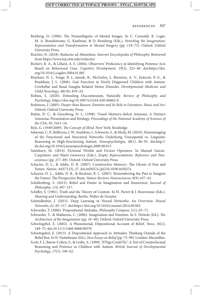- Reisberg, D. (1996). The Nonambiguity of Mental Images. In C. Cornoldi, R. Logie, M. A. Brandimonte, G. Kaufman, & D. Resisberg (Eds.), *Stretching the Imagination: Representation and Transformation in Mental Imagery* (pp. 119–72). Oxford: Oxford University Press.
- Rescher, N. (2018). Reductio ad Absurdum. *Internet Encyclopedia of Philosophy.* Retrieved from<https://www.iep.utm.edu/reductio/>
- Richert, R. A., & Lillard, A. S. (2004). Observers' Proficiency at Identifying Pretense Acts Based on Behavioral Cues. *Cognitive Development*, *19*(2), 223–40. [doi:https://doi.](doi:https://doi.org/10.1016/j.cogdev.2004.01.001) [org/10.1016/j.cogdev.2004.01.001](doi:https://doi.org/10.1016/j.cogdev.2004.01.001)
- Rinehart, N. J., Tonge, B. J., Iansek, R., McGinley, J., Brereton, A. V., Enticott, P. G., & Bradshaw, J. L. (2006). Gait Function in Newly Diagnosed Children with Autism: Cerebellar and Basal Ganglia Related Motor Disorder. *Developmental Medicine and Child Neurology*, 48(10), 819–24.
- Robins, S. (2020). Defending Discontinuism, Naturally. *Review of Philosophy and Psychology*[. https://doi.org/10.1007/s13164-020-00462-0.](https://doi.org/10.1007/s13164-020-00462-0.)
- Robinson, J. (2005). *Deeper than Reason: Emotion and Its Role in Literature, Music and Art*. Oxford: Oxford University Press.
- Rubin, D. C., & Greenberg, D. L. (1998). Visual Memory-deficit Amnesia: A Distinct Amnesiac Presentation and Etiology. *Proceedings of the National Academy of Sciences of the USA*, *95*, 5413–16.

Ryle, G. (1949/2009). *The Concept of Mind*. New York: Routledge.

- Sahyoun, C. P., Belliveau, J. W., Soulières, I., Schwartz, S., & Mody, M. (2010). Neuroimaging of the Functional and Structural Networks Underlying Visuospatial vs. Linguistic Reasoning in High-functioning Autism. *Neuropsychologia*, *48*(1), 86–95[. doi:http://](doi:http://dx.doi.org/10.1016/j.neuropsychologia.2009.08.013) [dx.doi.org/10.1016/j.neuropsychologia.2009.08.013](doi:http://dx.doi.org/10.1016/j.neuropsychologia.2009.08.013)
- Sainsbury, M. (2014). Fictional Worlds and Fiction Operators. In Manuel García-Carpintero and Martí Genoveva (Eds.), *Empty Representations: Reference and Nonexistence* (pp. 277–89). Oxford: Oxford University Press.
- Schacter, D. L., & Addis, D. R. (2007). Constructive Memory: The Ghosts of Past and Future. *Nature*, *445*(7123), 27. doi:445027a [pii]10.1038/445027a
- Schacter, D. L., Addis, D. R., & Buckner, R. L. (2007). Remembering the Past to Imagine the Future: The Prospective Brain. *Nature Reviews Neurosciences*, *8*(9), 657–61.
- Schellenberg, S. (2013). Belief and Desire in Imagination and Immersion. *Journal of Philosophy*, *110*, 497–517.
- Schiffer, S. (1981). Truth and the Theory of Content. In H. Parret & J. Bouveresse (Eds.), *Meaning and Understanding*. Berlin: Walter de Gruyter.
- Schmidhuber, J. (2015). Deep Learning in Neural Networks: An Overview. *Neural Networks*, *61*, 85–11[7. doi:https://doi.org/10.1016/j.neunet.2014.09.003](doi:https://doi.org/10.1016/j.neunet.2014.09.003)
- Schroeder, T. (2006). Propositional Attitudes. *Philosophy Compass*, *1*(1), 65–73.
- Schroeder, T., & Matheson, C. (2006). Imagination and Emotion. In S. Nichols (Ed.), *The Architecture of the Imagination* (pp. 19–40). Oxford: Oxford University Press.
- Schwitzgebel, E. (2002). A Phenomenal, Dispositional Account of Belief. *Nous*, *36*(2), 249–75. doi:10.1111/1468-0068.00370
- Schwitzgebel, E. (2013). A Dispositional Approach to Attitudes: Thinking Outside of the Belief Box. In N. Nottelmann (Ed.), *New Essays on Belief* (pp. 75–99). London: Macmillan.
- Scott, F. J., Baron-Cohen, S., & Leslie, A. (1999). 'If Pigs Could Fly': A Test of Counterfactual Reasoning and Pretence in Children with Autism. *British Journal of Developmental Psychology*, *17*(3), 349–62.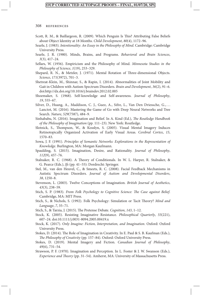- Scott, R. M., & Baillargeon, R. (2009). Which Penguin Is This? Attributing False Beliefs about Object Identity at 18 Months. *Child Development*, *80*(4), 1172–96.
- Searle, J. (1983). *Intentionality: An Essay in the Philosophy of Mind*. Cambridge: Cambridge University Press.
- Searle, J. R. (1980). Minds, Brains, and Programs. *Behavioral and Brain Sciences*, *3*(3), 417–24.
- Sellars, W. (1956). Empiricism and the Philosophy of Mind. *Minnesota Studies in the Philosophy of Science*, *1*(19), 253–329.
- Shepard, R. N., & Metzler, J. (1971). Mental Rotation of Three-dimensional Objects. *Science*, *171*(3972), 701–3.
- Shetreat-Klein, M., Shinnar, S., & Rapin, I. (2014). Abnormalities of Joint Mobility and Gait in Children with Autism Spectrum Disorders. *Brain and Development*, *36*(2), 91–6. <doi:http://dx.doi.org/10.1016/j.braindev.2012.02.005>
- Shoemaker, S. (1968). Self-knowledge and Self-awareness. *Journal of Philosophy*, *19*, 555–67.
- Silver, D., Huang, A., Maddison, C. J., Guez, A., Sifre, L., Van Den Driessche, G., . . . Lanctot, M. (2016). Mastering the Game of Go with Deep Neural Networks and Tree Search. *Nature*, *529*(7587), 484–9.
- Sinhababu, N. (2016). Imagination and Belief. In A. Kind (Ed.), *The Routledge Handbook of the Philosophy of Imagination* (pp. 111–23). New York: Routledge.
- Slotnick, S., Thompson, W., & Kosslyn, S. (2005). Visual Mental Imagery Induces Retinotopically Organized Activation of Early Visual Areas. *Cerebral Cortex*, *15*, 1570–83.
- Sowa, J. F. (1991). *Principles of Semantic Networks: Explorations in the Representation of Knowledge*. Burlington, MA: Morgan Kaufmann.
- Spaulding, S. (2015). Imagination, Desire, and Rationality. *Journal of Philosophy*, *112*(9), 457–76.
- Stalnaker, R. C. (1968). A Theory of Conditionals. In W. L. Harper, R. Stalnaker, & G. Pearce (Eds.), *Ifs* (pp. 41–55): Dordrecht: Springer.
- Stel, M., van den Heuvel, C., & Smeets, R. C. (2008). Facial Feedback Mechanisms in Autistic Spectrum Disorders. *Journal of Autism and Developmental Disorders*, *38*, 1250–8.
- Stevenson, L. (2003). Twelve Conceptions of Imagination. *British Journal of Aesthetics*, *43*(3), 238–59.
- Stich, S. P. (1983). *From Folk Psychology to Cognitive Science: The Case against Belief*. Cambridge, MA: MIT Press.
- Stich, S., & Nichols, S. (1992). Folk Psychology: Simulation or Tacit Theory? *Mind and Language*, *7*, 35–71.
- Stich, S., & Tarzia, J. (2015). The Pretense Debate. *Cognition*, *143*, 1–12.
- Stock, K. (2005). Resisting Imaginative Resistance. *Philosophical Quarterly*, *55*(221), 607–24. doi:10.1111/j.0031-8094.2005.00419.x
- Stock, K. (2017). *Only Imagine: Fiction, Interpretation, and Imagination*. Oxford: Oxford University Press.
- Stokes, D. (2014). The Role of Imagination in Creativity. In E. Paul & S. B. Kaufman (Eds.), *The Philosophy of Creativity* (pp. 157–84). Oxford: Oxford University Press.
- Stokes, D. (2019). Mental Imagery and Fiction. *Canadian Journal of Philosophy*, *49*(6), 731–54.
- Strawson, P. F. (1970). Imagination and Perception. In L. Foster & J. W. Swanson (Eds.), *Experience and Theory* (pp. 31–54). Amherst, MA: University of Massachusetts Press.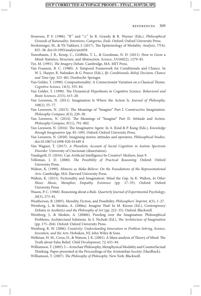- Strawson, P. F. (1986). "If " and "⊃." In R. Grandy & R. Warner (Eds.), *Philosophical Grounds of Rationality: Intentions, Categories, Ends*. Oxford: Oxford University Press.
- Strohminger, M., & Yli-Vakkuri, J. (2017). The Epistemology of Modality. *Analysis*, *77*(4), 825–38. doi:10.1093/analys/anx058
- Tenenbaum, J. B., Kemp, C., Griffiths, T. L., & Goodman, N. D. (2011). How to Grow a Mind: Statistics, Structure, and Abstraction. *Science*, *331*(6022), 1279–85.
- Tye, M. (1991). *The Imagery Debate*. Cambridge, MA: MIT Press.
- Van Fraassen, B. C. (1980). A Temporal Framework for Conditionals and Chance. In W. L. Harper, R. Stalnaker, & G. Pearce (Eds.), *Ifs: Conditionals, Belief, Decision, Chance and Time* (pp. 323–40). Dordrecht: Springer.
- Van Gelder, T. (1990). Compositionality: A Connectionist Variation on a Classical Theme. *Cognitive Science*, *14*(3), 355–84.
- Van Gelder, T. (1998). The Dynamical Hypothesis in Cognitive Science. *Behavioral and Brain Sciences*, *21*(5), 615–28.
- Van Leeuwen, N. (2011). Imagination Is Where the Action Is. *Journal of Philosophy*, *108*(2), 55–77.
- Van Leeuwen, N. (2013). The Meanings of "Imagine" Part I: Constructive Imagination. *Philosophy Compass*, *8*(3), 220–30.
- Van Leeuwen, N. (2014). The Meanings of "Imagine" Part II: Attitude and Action. *Philosophy Compass*, *9*(11), 791–802.
- Van Leeuwen, N. (2016). The Imaginative Agent. In A. Kind & P. Kung (Eds.), *Knowledge through Imagination* (pp. 85–109). Oxford: Oxford University Press.
- Van Leeuwen, N. (2020). Imagining stories: attitudes and operators. *Philosophical Studies*. doi:10.1007/s11098-020-01449-4
- Van Wagner, T. (2017). *A Pluralistic Account of Social Cognition in Autism Spectrum Disorder*. University of Cincinnati (dissertation).
- Vandegrift, D. (2016). Can Artificial Intelligence be Creative? *Medium*, June 9.
- Velleman, J. D. (2000). *The Possibility of Practical Reasoning*. Oxford: Oxford University Press.
- Walton, K. (1990). *Mimesis as Make-Believe: On the Foundations of the Representational Arts*. Cambridge, MA: Harvard University Press.
- Walton, K. (2015). Fictionality and Imagination: Mind the Gap. In K. Walton, *In Other Shoes: Music, Metaphor, Empathy, Existence* (pp. 17–35). Oxford: Oxford University Press.
- Wason, P. C. (1968). Reasoning about a Rule. *Quarterly Journal of Experimental Psychology*, *20*(3), 273–81.
- Weatherson, B. (2005). Morality, Fiction, and Possibility. *Philosophers' Imprint*, *4*(3), 1–27.
- Weinberg, J., & Meskin, A. (2006a). Imagine That! In M. Kieran (Ed.), *Contemporary Debates in Aesthetics and the Philosophy of Art* (pp. 222–35). Oxford: Blackwell.
- Weinberg, J., & Meskin, A. (2006b). Puzzling over the Imagination: Philosophical Problems, Architectural Solutions. In S. Nichols (Ed.), *The Architecture of Imagination* (pp. 175–204). Oxford: Oxford University Press.
- Weisberg, R. W. (2006). *Creativity: Understanding Innovation in Problem Solving, Science, Invention, and the Arts*. Hoboken, NJ: John Wiley & Sons.
- Wellman, H. M., Cross, D., & Watson, J. K. (2001). A Meta-analysis of Theory of Mind: The Truth about False Belief. *Child Development*, *72*, 655–84.
- Williamson, T. (2005). I—Armchair Philosophy, Metaphysical Modality and Counterfactual Thinking. Paper presented at the Proceedings of the Aristotelian Society (Hardback).
- Williamson, T. (2007). *The Philosophy of Philosophy*. New York: Blackwell.